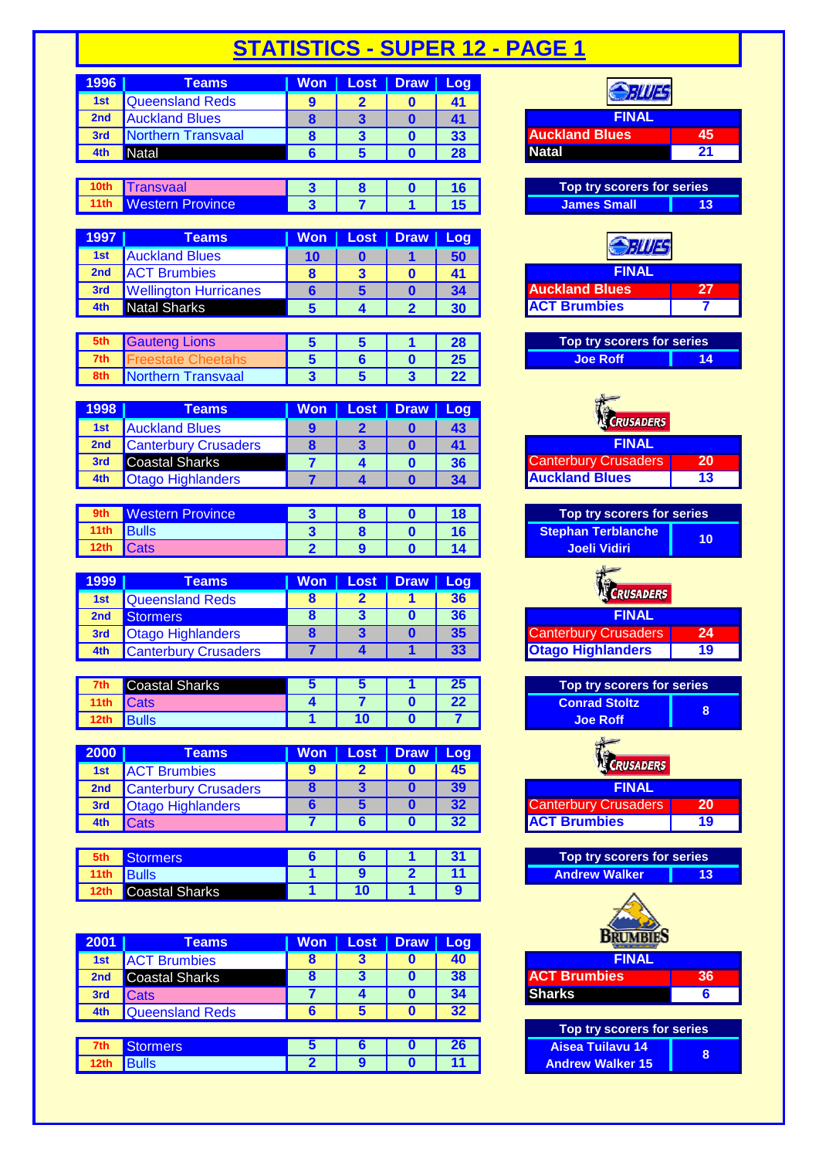| 1996                              | <b>Teams</b>            | <b>Won</b> | <b>Lost</b>      | <b>Draw</b> | Log             |                            |    |
|-----------------------------------|-------------------------|------------|------------------|-------------|-----------------|----------------------------|----|
| 1st                               | Queensland Reds         | 9          |                  |             | 41              |                            |    |
| 2nd                               | <b>Auckland Blues</b>   | 8          | 3                | 0           | 41              | <b>FINAL</b>               |    |
| 3rd                               | Northern Transvaal      | 8          | 3                | O           | 33              | <b>Auckland Blues</b>      | 45 |
| 4th                               | <b>Natal</b>            | 6          | 5                |             | 28              | <b>Natal</b>               | 21 |
|                                   |                         |            |                  |             |                 |                            |    |
| 10 <sub>th</sub>                  | <b>Transvaal</b>        | 3          | 8                | $\mathbf 0$ | 16              | Top try scorers for series |    |
| 11 <sub>th</sub>                  | <b>Western Province</b> | 3          |                  |             | 15 <sub>1</sub> | <b>James Small</b>         | 13 |
|                                   |                         |            |                  |             |                 |                            |    |
| 1997                              | <b>Teams</b>            | <b>Won</b> | Lost             | <b>Draw</b> | Log             |                            |    |
| <b>Contract Contract Contract</b> | .                       | $\sim$     | <b>CONTINUES</b> |             | --              |                            |    |

| 1st | <b>Auckland Blues</b>        |  |    |                       |  |
|-----|------------------------------|--|----|-----------------------|--|
| 2nd | <b>ACT Brumbies</b>          |  |    | INAL                  |  |
| 3rd | <b>Wellington Hurricanes</b> |  |    | <b>Auckland Blues</b> |  |
| 4th | <b>Natal Sharks</b>          |  | 30 | <b>IACT Brumbies</b>  |  |

| 5th | <b>auteng Lions</b> |  |  | Top try scorers for series |  |
|-----|---------------------|--|--|----------------------------|--|
| 7th |                     |  |  |                            |  |
| 8th | Northern Transvaal  |  |  |                            |  |

| 1998 | Teams                       | Won | Lost   Draw   Log |    |                             |
|------|-----------------------------|-----|-------------------|----|-----------------------------|
| 1st  | <b>Auckland Blues</b>       |     |                   |    | <b>CRUSADERS</b>            |
| 2nd  | <b>Canterbury Crusaders</b> |     |                   |    | <b>FINAL</b>                |
| 3rd  | <b>Coastal Sharks</b>       |     |                   | 36 | <b>Canterbury Crusaders</b> |
|      | <b>Otago Highlanders</b>    |     |                   | 34 | <b>Auckland Blues</b>       |

|      | <b>Western Province</b> |  |  | Top try scorers f         |
|------|-------------------------|--|--|---------------------------|
|      | 11th Bulls              |  |  | <b>Stephan Terblanche</b> |
| 12th | <b>Cats</b>             |  |  | <b>Joeli Vidiri</b>       |

| 1999            | Teams                       | Won' | Lost | <b>Draw</b> | 'I Loq , |                                   |
|-----------------|-----------------------------|------|------|-------------|----------|-----------------------------------|
| 1st             | Queensland Reds             |      |      |             |          | <b>K CRUSADERS</b>                |
| 2 <sub>nd</sub> | <b>Stormers</b>             |      |      |             |          | <b>FINAL</b>                      |
| 3rd             | <b>Otago Highlanders</b>    |      |      |             |          | <b>Canterbury Crusaders</b><br>24 |
| 4th             | <b>Canterbury Crusaders</b> |      |      |             | 33       | <b>Otago Highlanders</b><br>19    |

|       | Coastal Sharks |    |  | Top try score        |
|-------|----------------|----|--|----------------------|
| 11 th |                |    |  | <b>Conrad Stoltz</b> |
| 12th  |                | 10 |  | <b>Joe Roff</b>      |

| <b>2000</b> | Teams                       | <b>Won</b> | Lost   Draw   Log |    |                             |    |
|-------------|-----------------------------|------------|-------------------|----|-----------------------------|----|
| 1st         | <b>ACT Brumbies</b>         |            |                   |    | <b>RUSADERS</b>             |    |
| 2nd         | <b>Canterbury Crusaders</b> |            |                   |    | <b>FINAL</b>                |    |
| 3rd         | <b>Otago Highlanders</b>    |            |                   | 32 | <b>Canterbury Crusaders</b> | 20 |
|             | <b>ICats</b>                |            |                   | 32 | <b>ACT Brumbies</b>         | 19 |

|      | <b>prmers</b>  |  |  | Top try scorers for series |  |
|------|----------------|--|--|----------------------------|--|
| าานา | <b>Bulls</b>   |  |  | <b>Andrew Walker</b>       |  |
|      | Coastal Sharks |  |  |                            |  |

| 2001 | <b>Teams</b>           | Won       | Lost | <b>Draw</b> | Log | <b>CALL &amp; STATISTIC</b> |    |
|------|------------------------|-----------|------|-------------|-----|-----------------------------|----|
| 1st  | <b>ACT Brumbies</b>    |           |      |             | 40  | <b>FINAL</b>                |    |
| 2nd  | Coastal Sharks         | $\bullet$ | З    |             | 38  | <b>ACT Brumbies</b>         | 36 |
| 3rd  | <b>Cats</b>            |           |      |             | 34  | <b>Sharks</b>               | 6  |
| 4th  | <b>Queensland Reds</b> |           | Ð    |             | 32  |                             |    |
|      |                        |           |      |             |     | Top try scorers for series  |    |
| 7th  | <b>Stormers</b>        |           |      |             | 26  | <b>Aisea Tuilavu 14</b>     | 8  |
|      | Bulls                  |           |      |             |     | <b>Andrew Walker 15</b>     |    |

| FILIES                      |                 |
|-----------------------------|-----------------|
| <b>FINAL</b>                |                 |
| <b>Auckland Blues</b>       | 45              |
| <b>Natal</b>                | $\overline{21}$ |
|                             |                 |
| Top try scorers for series  |                 |
| <b>James Small</b>          | 13              |
|                             |                 |
|                             |                 |
| 711/2                       |                 |
| <b>FINAL</b>                |                 |
|                             |                 |
| <b>Auckland Blues</b>       | 27              |
| <b>ACT Brumbies</b>         |                 |
|                             |                 |
| Top try scorers for series  |                 |
| <b>Joe Roff</b>             | 14              |
|                             |                 |
|                             |                 |
|                             |                 |
| <b>RUSADERS</b>             |                 |
| <b>FINAL</b>                |                 |
| <b>Canterbury Crusaders</b> | $\overline{20}$ |
| <b>Auckland Blues</b>       | 13              |
|                             |                 |
|                             |                 |
| Top try scorers for series  |                 |
| <b>Stephan Terblanche</b>   | 10              |
| <b>Joeli Vidiri</b>         |                 |
|                             |                 |
|                             |                 |
| <b>RUSADERS</b>             |                 |
|                             |                 |
| <b>FINAL</b>                |                 |
| <b>Canterbury Crusaders</b> | 24              |
| <b>Otago Highlanders</b>    | 19              |
|                             |                 |
| Top try scorers for series  |                 |
| <b>Conrad Stoltz</b>        | 8               |
| <b>Joe Roff</b>             |                 |
|                             |                 |
|                             |                 |
| <b>RUSADERS</b>             |                 |
| <b>FINAL</b>                |                 |
| <b>Canterbury Crusaders</b> | 20              |
| <b>ACT Brumbies</b>         | 19              |
|                             |                 |
|                             |                 |
| Top try scorers for series  |                 |
| <b>Andrew Walker</b>        | 13              |
|                             |                 |
|                             |                 |
| <b>BRUM</b>                 |                 |
|                             |                 |
| <b>FINAL</b>                |                 |
| <b>ACT Brumbies</b>         | 36              |
| <b>Sharks</b>               | 6               |
|                             |                 |
| Top try scorers for series  |                 |
| <b>Aisea Tuilavu 14</b>     |                 |
| <b>Andrew Walker 15</b>     | 8               |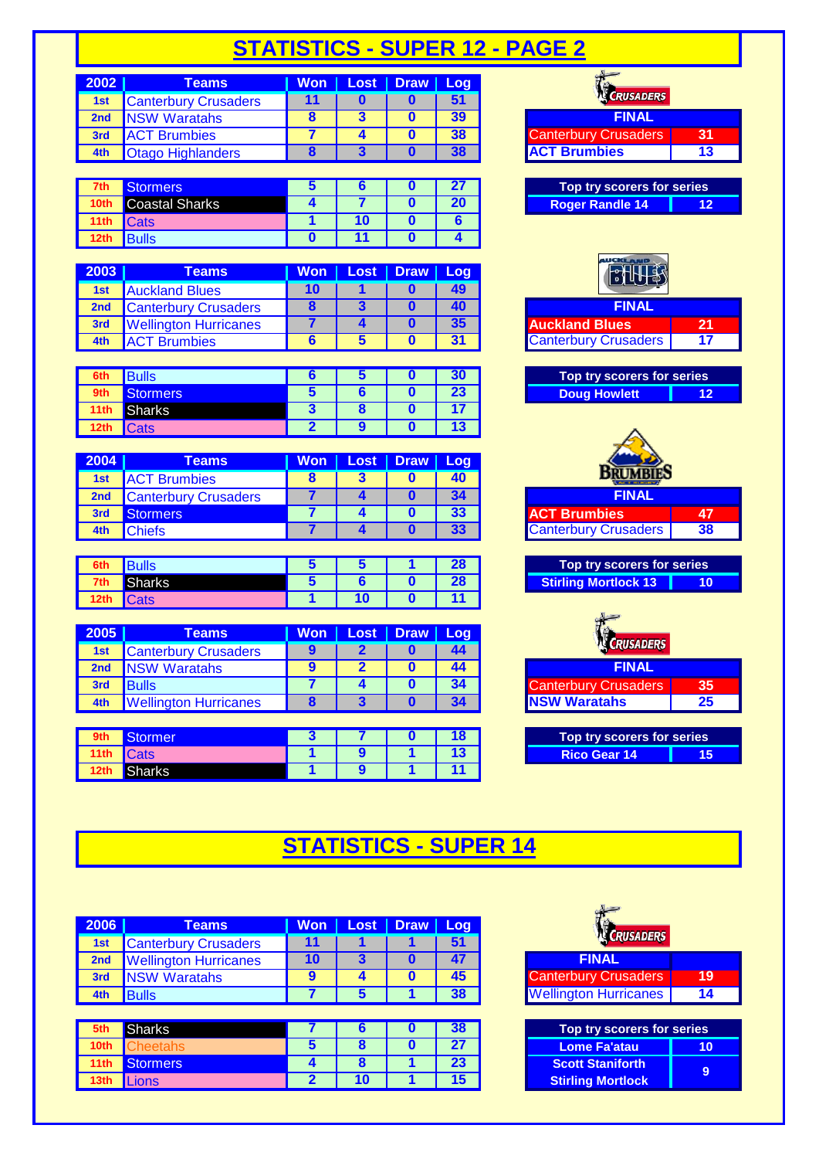# **STATISTICS - SUPER 12 - PAGE 2**

| 2002            | Teams                       | <b>Won</b> | <b>Lost</b> | <b>Draw</b> | Log |                             |    |
|-----------------|-----------------------------|------------|-------------|-------------|-----|-----------------------------|----|
| 1st             | <b>Canterbury Crusaders</b> |            |             |             |     | <b>CRUSADERS</b>            |    |
| 2 <sub>nd</sub> | <b>NSW Waratahs</b>         |            |             |             | 39  | <b>FINAL</b>                |    |
| 3rd             | <b>ACT Brumbies</b>         |            |             |             | 38  | <b>Canterbury Crusaders</b> | 31 |
| 4th             | <b>Otago Highlanders</b>    |            |             |             |     | <b>ACT Brumbies</b>         | 13 |

| 7th              | Stormers              |  |  | Top try scorers for series |    |
|------------------|-----------------------|--|--|----------------------------|----|
| 10 <sub>th</sub> | <b>Coastal Sharks</b> |  |  | <b>Roger Randle 14</b>     | 12 |
| 11 <sub>th</sub> | <b>Cats</b>           |  |  |                            |    |
| 12 <sub>th</sub> | <b>Bulls</b>          |  |  |                            |    |

| 2003            | Teams                        | Won | Lost. | <b>Draw</b> | Log | tв                          |    |
|-----------------|------------------------------|-----|-------|-------------|-----|-----------------------------|----|
| 1st             | <b>Auckland Blues</b>        | 1 U |       |             |     |                             |    |
| 2 <sub>nd</sub> | <b>Canterbury Crusaders</b>  |     |       |             |     | <b>FINAL</b>                |    |
| 3rd             | <b>Wellington Hurricanes</b> |     |       |             |     | <b>Auckland Blues</b>       | 21 |
| 4th             | <b>T</b> Brumbies            |     |       |             |     | <b>Canterbury Crusaders</b> |    |

| 6th              | <b>Bulls</b>          |  |   | Top try scorers for series |    |
|------------------|-----------------------|--|---|----------------------------|----|
| 9th              | Stormers <sup>1</sup> |  | ഹ | <b>Doug Howlett</b>        | 12 |
| 11th             | <b>Sharks</b>         |  |   |                            |    |
| 12 <sub>th</sub> | <b>Cats</b>           |  |   |                            |    |

| 2004 | Teams                       | <b>Won</b> | Lost   Draw | Log |                                         |    |
|------|-----------------------------|------------|-------------|-----|-----------------------------------------|----|
| 1st  | <b>ACT Brumbies</b>         |            |             |     | <b><i><u>A PART OF BUILDING</u></i></b> |    |
| 2nd  | <b>Canterbury Crusaders</b> |            |             |     | <b>FINAL</b>                            |    |
| 3rd  | <b>Stormers</b>             |            |             | 22  | <b>ACT Brumbies</b>                     | 47 |
| 4th  | <b>A</b> Chiefs             |            |             |     | <b>Canterbury Crusaders</b>             | 38 |

| 6th  |        |  |  | Top try scorers for series |
|------|--------|--|--|----------------------------|
| 7th  | Sharks |  |  | tirling Mortlock 13        |
| 12th |        |  |  |                            |

| 2005 | Teams                        | <b>Won</b> | Lost | <b>Draw</b> | l Log |                             |    |
|------|------------------------------|------------|------|-------------|-------|-----------------------------|----|
| 1st  | <b>Canterbury Crusaders</b>  |            |      |             | 44    | <b>CRUSADERS</b>            |    |
| 2nd  | <b>NSW Waratahs</b>          |            |      |             | 44    | <b>FINAL</b>                |    |
| 3rd  | <b>Bulls</b>                 |            |      |             |       | <b>Canterbury Crusaders</b> | 35 |
| 4th  | <b>Wellington Hurricanes</b> |            |      |             |       | <b>INSW Waratahs</b>        | 25 |

| <b>brmer</b> |  |  | Top try scorers for series |    |
|--------------|--|--|----------------------------|----|
| oals         |  |  | <b>Rico Gear 14</b>        | 15 |
| າarks        |  |  |                            |    |

| CRUSADERS                                                 |                                     |
|-----------------------------------------------------------|-------------------------------------|
| <b>FINAL</b>                                              |                                     |
| <b>Canterbury Crusaders</b>                               | 31                                  |
| <b>ACT Brumbies</b>                                       | $\overline{13}$                     |
|                                                           |                                     |
| Top try scorers for series                                |                                     |
| <b>Roger Randle 14</b>                                    | $\overline{12}$                     |
|                                                           |                                     |
| $\sqrt[3]{\mathbb{H}}$                                    |                                     |
| <b>FINAL</b>                                              |                                     |
| uckland Blues                                             | $\overline{21}$                     |
| <b>Canterbury Crusaders</b>                               | $\overline{\overline{\mathbf{17}}}$ |
|                                                           |                                     |
| Top try scorers for series                                |                                     |
| <b>Doug Howlett</b>                                       | $\overline{12}$                     |
|                                                           |                                     |
| <b>BRUMBIE</b>                                            |                                     |
|                                                           |                                     |
| <b>FINAL</b>                                              |                                     |
| <b>CT Brumbies</b>                                        | 47<br>$\overline{38}$               |
| <b>Canterbury Crusaders</b>                               |                                     |
|                                                           |                                     |
| Top try scorers for series<br><b>Stirling Mortlock 13</b> | 10                                  |
| <b>RUSADERS</b>                                           |                                     |
| <b>FINAL</b>                                              |                                     |
|                                                           | 35                                  |
| anterbury Crusaders<br><b>NSW Waratahs</b>                | $\overline{25}$                     |
|                                                           |                                     |
| Top try scorers for series                                |                                     |

# **STATISTICS - SUPER 14**

| 2006             | <b>Teams</b>                 | <b>Won</b> | Lost | <b>Draw</b> | Log |                              |  |
|------------------|------------------------------|------------|------|-------------|-----|------------------------------|--|
| 1st              | <b>Canterbury Crusaders</b>  | 11         |      |             | 51  | <b>CRUSADERS</b>             |  |
| 2 <sub>nd</sub>  | <b>Wellington Hurricanes</b> | 10         | 3    | 0           | 47  | <b>FINAL</b>                 |  |
| 3rd              | <b>NSW Waratahs</b>          | 9          | 4    | 0           | 45  | <b>Canterbury Crusaders</b>  |  |
| 4th              | <b>Bulls</b>                 |            | 5    |             | 38  | <b>Wellington Hurricanes</b> |  |
|                  |                              |            |      |             |     |                              |  |
|                  |                              |            |      |             |     |                              |  |
| 5th              | <b>Sharks</b>                |            | ь    | O           | 38  | Top try scorers for series   |  |
| 10 <sub>th</sub> | <b>Cheetahs</b>              | 5          | 8    | 0           | 27  | <b>Lome Fa'atau</b>          |  |
| 11 <sup>th</sup> | <b>Stormers</b>              | $\sqrt{ }$ | 8    |             | 23  | <b>Scott Staniforth</b>      |  |

| <b>K CRUSADERS</b>           |    |
|------------------------------|----|
| <b>FINAL</b>                 |    |
| <b>Canterbury Crusaders</b>  | 19 |
| <b>Wellington Hurricanes</b> | 14 |

| Top try scorers for series |    |  |  |  |  |  |  |  |
|----------------------------|----|--|--|--|--|--|--|--|
| Lome Fa'atau               | 10 |  |  |  |  |  |  |  |
| <b>Scott Staniforth</b>    |    |  |  |  |  |  |  |  |
| <b>Stirling Mortlock</b>   |    |  |  |  |  |  |  |  |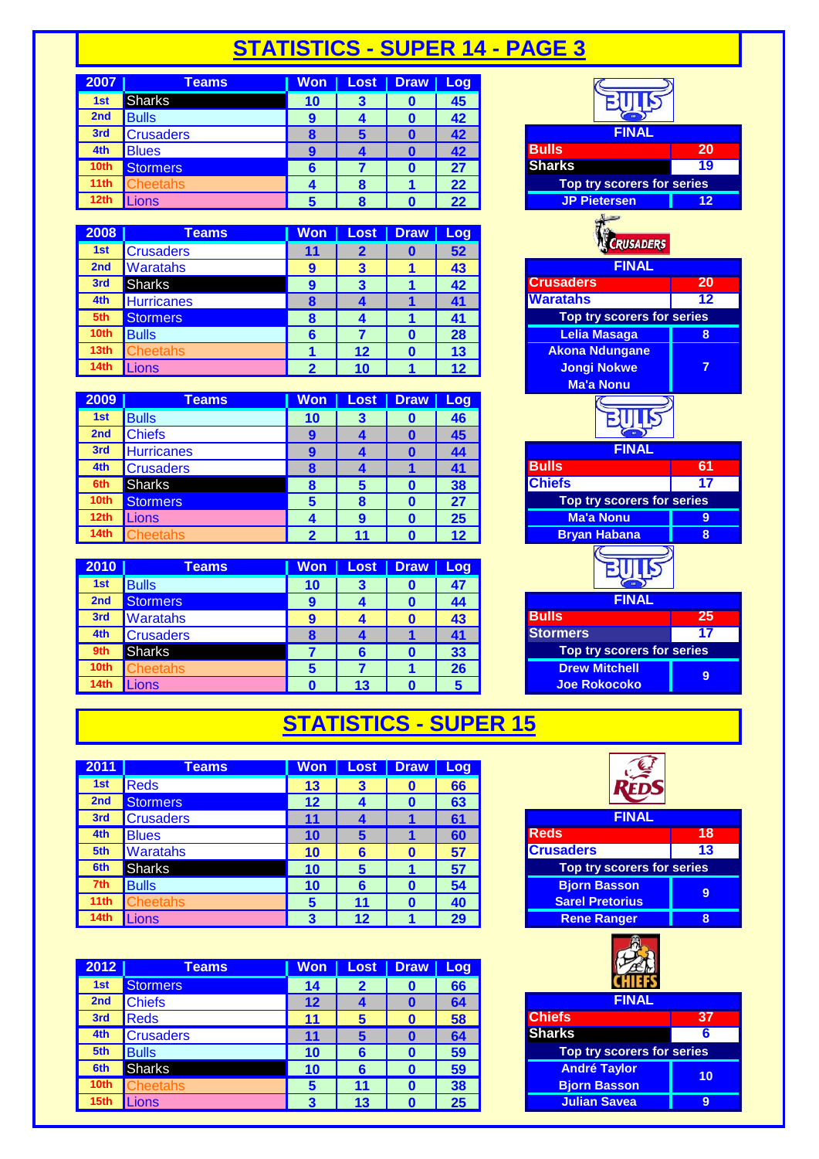#### **STATISTICS - SUPER 14 - PAGE 3**

| 2007             | <b>Teams</b>     | <b>Won</b>    | <b>Lost</b> | <b>Draw</b> | /Log |                     |                            |  |
|------------------|------------------|---------------|-------------|-------------|------|---------------------|----------------------------|--|
| 1st              | <b>Sharks</b>    | 10            | 3           |             | 45   |                     |                            |  |
| 2 <sub>nd</sub>  | <b>Bulls</b>     | 9             |             |             | 42   |                     |                            |  |
| 3rd              | <b>Crusaders</b> | <b>C</b><br>œ | 5           |             | 42   | <b>FINAL</b>        |                            |  |
| 4th              | <b>Blues</b>     | O             |             |             | 42   | <b>Bulls</b>        | 20                         |  |
| 10th             | <b>Stormers</b>  |               |             |             | 27   | <b>Sharks</b>       | 19                         |  |
| 11 <sub>th</sub> | heetahs:         |               |             |             | 22   |                     | Top try scorers for series |  |
| 12th             | ions             |               |             |             | つつ   | <b>JP Pietersen</b> | 12                         |  |

| 2008             | <b>Teams</b>      | Won | Lost            | <b>Draw</b> | <b>Log</b> |                            |    |
|------------------|-------------------|-----|-----------------|-------------|------------|----------------------------|----|
| 1st              | <b>Crusaders</b>  | 11  |                 |             | 52         | CRUSADERS                  |    |
| 2 <sub>nd</sub>  | Waratahs          | 9   | 3               |             | 43         | <b>FINAL</b>               |    |
| 3rd              | Sharks            | 9   | 3               |             | 42         | <b>Crusaders</b>           | 20 |
| 4th              | <b>Hurricanes</b> |     |                 |             |            | <b>Waratahs</b>            | 12 |
| 5th              | <b>Stormers</b>   |     |                 |             | 41         | Top try scorers for series |    |
| 10th             | <b>Bulls</b>      |     |                 |             | 28         | Lelia Masaga               | 8  |
| 13 <sub>th</sub> | heetahs:          |     | 12 <sup>°</sup> |             | 13         | <b>Akona Ndungane</b>      |    |
| <b>14th</b>      | Lions             |     | 10              |             |            | <b>Jongi Nokwe</b>         |    |

| 2009             | <b>Teams</b>      | <b>Won</b> | <b>Lost</b> | <b>Draw</b> | Log |                            |     |
|------------------|-------------------|------------|-------------|-------------|-----|----------------------------|-----|
| 1st              | <b>Bulls</b>      | 10         | з           |             | 46  |                            |     |
| 2 <sub>nd</sub>  | <b>Chiefs</b>     | 9          |             |             | 45  |                            |     |
| 3rd              | <b>Hurricanes</b> | 9          |             |             | 44  | <b>FINAL</b>               |     |
| 4th              | <b>Crusaders</b>  |            |             |             |     | <b>Bulls</b>               | -61 |
| 6th              | <b>Sharks</b>     |            | 5           |             | 38  | <b>Chiefs</b>              | 17  |
| 10 <sub>th</sub> | <b>Stormers</b>   |            | 8           |             | 27  | Top try scorers for series |     |
| 12 <sub>th</sub> | Lions             |            | 9           |             | 25  | <b>Ma'a Nonu</b>           | 9   |
| 14 <sub>th</sub> | <b>Cheetahs</b>   |            |             |             |     | <b>Bryan Habana</b>        | 8   |

| 2010             | <b>Teams</b>     | Won | Lost | Draw | Log |                            |    |
|------------------|------------------|-----|------|------|-----|----------------------------|----|
| 1st              | <b>Bulls</b>     | 10  |      |      | 4   |                            |    |
| 2 <sub>nd</sub>  | <b>Stormers</b>  | 9   |      |      | 44  | <b>FINAL</b>               |    |
| 3rd              | <b>Waratahs</b>  | 9   |      |      | 43  | <b>Bulls</b>               | 25 |
| 4th              | <b>Crusaders</b> |     |      |      | 41  | <b>Stormers</b>            | 17 |
| 9th              | <b>Sharks</b>    |     |      |      | 33  | Top try scorers for series |    |
| 10 <sub>th</sub> | heetahs:         |     |      |      | 26  | <b>Drew Mitchell</b>       | 9  |
| 14 <sub>th</sub> | Lions            |     | 13   |      |     | Joe Rokocoko               |    |

#### **BULS FINAL Top try scorers for series12th** Lions **5 8 0 22 JP Pietersen 12** CRUSADERS **FINAL Top try scorers for series 10th** Bulls **6 7 0 28 Lelia Masaga 8 13th** Cheetahs **1 12 0 13 Akona Ndungane 14th** Lions **2 10 1 12 Jongi Nokwe 7 Ma'a Nonu** BUIK **FINAL Top try scorers for series 12th** Lions **4 9 0 25 Ma'a Nonu 9 125 Bryan Habana** BULK **FINAL Top try scorers for series**  $\overline{\text{Drew Mitchell}}$ **9**

## **STATISTICS - SUPER 15**

| 2011             | Teams            | <b>Won</b> | Lost    | <b>Draw</b> | Log |                            |    |
|------------------|------------------|------------|---------|-------------|-----|----------------------------|----|
| 1st              | Reds             | 13         | 3       | U           | 66  |                            |    |
| 2 <sub>nd</sub>  | <b>Stormers</b>  | 12         |         |             | 63  |                            |    |
| 3rd              | <b>Crusaders</b> |            |         |             | 61  | <b>FINAL</b>               |    |
| 4th              | <b>Blues</b>     | 10         | 5       |             | 60  | <b>Reds</b>                | 18 |
| 5th              | <b>Waratahs</b>  | 10         | 6       | O           | 57  | <b>Crusaders</b>           | 13 |
| 6th              | <b>Sharks</b>    | 10         | 5       |             | 57  | Top try scorers for series |    |
| 7th              | <b>Bulls</b>     | 10         | 6       |             | 54  | <b>Bjorn Basson</b>        | 9  |
| 11 <sub>th</sub> | <b>Cheetahs</b>  | 5          |         | 0           | 40  | <b>Sarel Pretorius</b>     |    |
| 14th             | .ions            |            | $\cdot$ |             | 29  | <b>Rene Ranger</b>         | 8  |

| 2012             | <b>Teams</b>     | <b>Won</b> | Lost | <b>Draw</b> | Log |                            |    |
|------------------|------------------|------------|------|-------------|-----|----------------------------|----|
| 1st              | <b>Stormers</b>  | 14         |      |             | 66  |                            |    |
| 2 <sub>nd</sub>  | <b>Chiefs</b>    | 12         |      |             | 64  | <b>FINAL</b>               |    |
| 3rd              | Reds             |            |      |             | 58  | <b>Chiefs</b>              | 37 |
| 4th              | <b>Crusaders</b> |            |      |             | 64  | <b>Sharks</b>              | -6 |
| 5th              | <b>Bulls</b>     | 10         |      |             | 59  | Top try scorers for series |    |
| 6th              | <b>Sharks</b>    | 10         |      |             | 59  | <b>André Taylor</b>        | 10 |
| 10 <sub>th</sub> | <b>Cheetahs</b>  |            |      |             | 38  | <b>Bjorn Basson</b>        |    |
| 15th             | .ions            | 3          | 13   |             | 25  | <b>Julian Savea</b>        | 9  |

| <b>FINAL</b>                      |    |
|-----------------------------------|----|
| Reds                              | 18 |
| <b>Crusaders</b>                  | 13 |
| <b>Top try scorers for series</b> |    |
| <b>Bjorn Basson</b>               |    |
| <b>Sarel Pretorius</b>            |    |
| <b>Rene Ranger</b>                |    |



| հ                                 |
|-----------------------------------|
| <b>Top try scorers for series</b> |
| 10                                |
|                                   |
|                                   |
|                                   |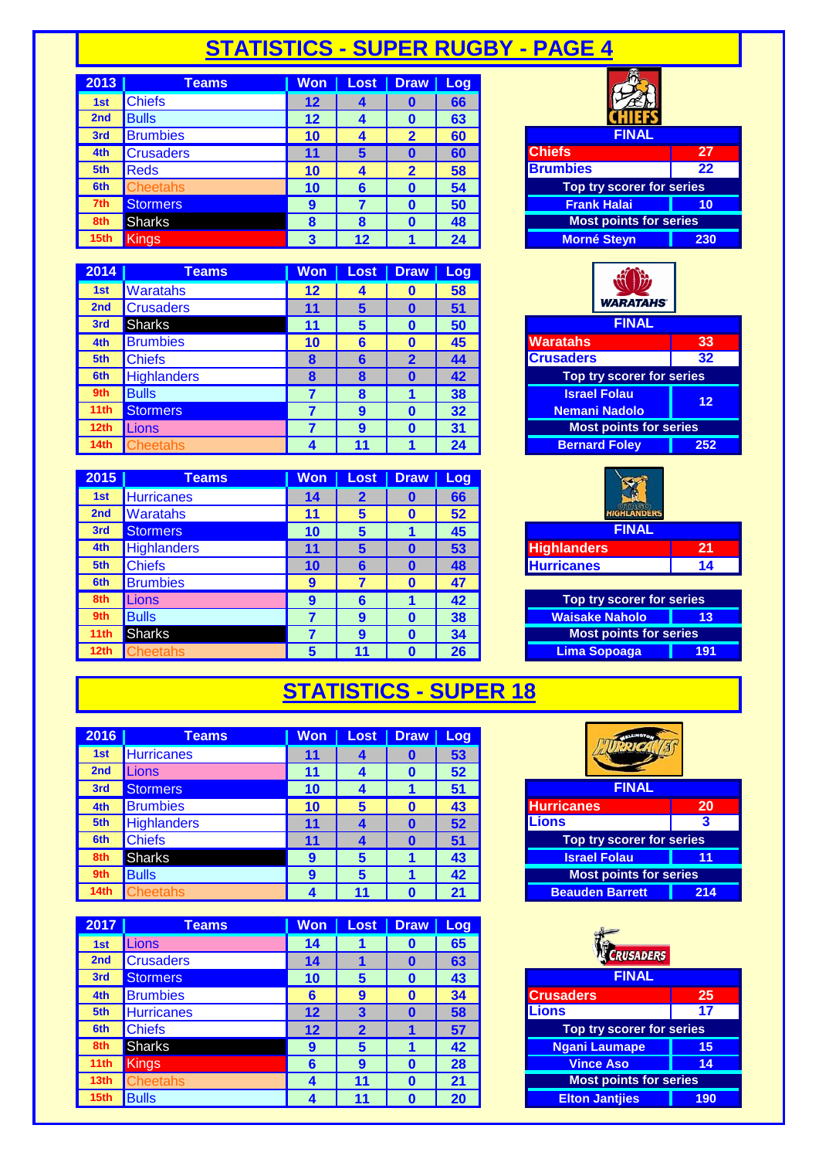## **STATISTICS - SUPER RUGBY - PAGE 4**

| 2013             | Teams            | <b>Won</b> | Lost | <b>Draw</b>  | Log |                               |
|------------------|------------------|------------|------|--------------|-----|-------------------------------|
| 1st              | <b>Chiefs</b>    | 12         |      |              | 66  |                               |
| 2 <sub>nd</sub>  | <b>Bulls</b>     | $12 \,$    |      |              | 63  |                               |
| 3rd              | <b>Brumbies</b>  | 10         |      | 2            | 60  | <b>FINAL</b>                  |
| 4th              | <b>Crusaders</b> | 11         | 5    |              | 60  | <b>Chiefs</b><br>27           |
| 5th              | <b>Reds</b>      | 10         | 4    | $\mathbf{2}$ | 58  | <b>Brumbies</b><br>22         |
| 6th              | <b>Cheetahs</b>  | 10         | 6    |              | 54  | Top try scorer for series     |
| 7th              | <b>Stormers</b>  | 9          |      |              | 50  | <b>Frank Halai</b><br>10      |
| 8th              | <b>Sharks</b>    | 8          | 8    |              | 48  | <b>Most points for series</b> |
| 15 <sub>th</sub> | <b>Kings</b>     | 3          | 12   |              | 24  | <b>Morné Steyn</b><br>230     |

| 2014             | <b>Teams</b>       | Won | <b>Lost</b> | <b>Draw</b> | Log |                               |     |
|------------------|--------------------|-----|-------------|-------------|-----|-------------------------------|-----|
| 1st              | <b>Waratahs</b>    | 12  |             |             | 58  |                               |     |
| 2 <sub>nd</sub>  | <b>Crusaders</b>   | 11  | 5           |             | 51  | <b>WARATAHS</b>               |     |
| 3rd              | <b>Sharks</b>      | 11  | 5           |             | 50  | <b>FINAL</b>                  |     |
| 4th              | <b>Brumbies</b>    | 10  | 6           |             | 45  | <b>Waratahs</b>               | 33  |
| 5th              | <b>Chiefs</b>      | 8   | 6           | 2           | 44  | <b>Crusaders</b>              | 32  |
| 6th              | <b>Highlanders</b> | 8   | 8           |             | 42  | Top try scorer for series     |     |
| 9th              | <b>Bulls</b>       |     | О           |             | 38  | <b>Israel Folau</b>           | 12  |
| 11th             | <b>Stormers</b>    |     | 9           |             | 32  | <b>Nemani Nadolo</b>          |     |
| 12th             | Lions              |     | 9           |             | 31  | <b>Most points for series</b> |     |
| 14 <sub>th</sub> | <b>Cheetahs</b>    |     |             |             | 24  | <b>Bernard Foley</b>          | 252 |

| 2015            | <b>Teams</b>       | <b>Won</b> | Lost        | <b>Draw</b> | Log |                               |     |
|-----------------|--------------------|------------|-------------|-------------|-----|-------------------------------|-----|
| 1st             | <b>Hurricanes</b>  | 14         | $\mathbf 2$ |             | 66  |                               |     |
| 2 <sub>nd</sub> | <b>Waratahs</b>    | 11         | 5           |             | 52  | <b>HIGHLANDERS</b>            |     |
| 3rd             | Stormers           | 10         | 5           |             | 45  | <b>FINAL</b>                  |     |
| 4th             | <b>Highlanders</b> | 11         | 5           |             | 53  | <b>Highlanders</b>            | 21  |
| 5th             | <b>Chiefs</b>      | 10         | 6           |             | 48  | <b>Hurricanes</b>             | 14  |
| 6th             | <b>Brumbies</b>    | 9          |             |             | 47  |                               |     |
| 8th             | Lions              | 9          | 6           |             | 42  | Top try scorer for series     |     |
| 9th             | <b>Bulls</b>       |            | 9           |             | 38  | <b>Waisake Naholo</b>         | 13  |
| 11th            | <b>Sharks</b>      |            | 9           |             | 34  | <b>Most points for series</b> |     |
| 12th            | <b>Cheetahs</b>    |            |             |             | 26  | Lima Sopoaga                  | 191 |

| <b>FINAL</b> |  |
|--------------|--|
|              |  |
|              |  |

| мныз                          | <b><i><u>LI</u></i></b> |
|-------------------------------|-------------------------|
| <b>Brumbies</b>               | 22                      |
| Top try scorer for series     |                         |
| <b>Frank Halai</b>            | 10                      |
| <b>Most points for series</b> |                         |
| <b>Morné Steyn</b>            | 230                     |

|                      | <b>WARATAHS</b>               |     |
|----------------------|-------------------------------|-----|
|                      | <b>FINAL</b>                  |     |
| <b>Waratahs</b>      |                               | 33  |
| <b>Crusaders</b>     | 32                            |     |
|                      | Top try scorer for series     |     |
|                      | <b>Israel Folau</b>           | 12  |
| <b>Nemani Nadolo</b> |                               |     |
|                      | <b>Most points for series</b> |     |
|                      | <b>Bernard Foley</b>          | 252 |

| <b>HIGHLANDERS</b> |    |
|--------------------|----|
| <b>FINAL</b>       |    |
| <b>Highlanders</b> | 21 |
| <b>Hurricanes</b>  | 14 |
|                    |    |

| Top try scorer for series     |    |  |  |  |  |
|-------------------------------|----|--|--|--|--|
| <b>Waisake Naholo</b>         | 13 |  |  |  |  |
| <b>Most points for series</b> |    |  |  |  |  |
| Lima Sopoaga<br>191           |    |  |  |  |  |

### **STATISTICS - SUPER 18**

| 2016             | Teams              | <b>Won</b> | Lost | Draw Log |    |                               |     |
|------------------|--------------------|------------|------|----------|----|-------------------------------|-----|
| 1st              | <b>Hurricanes</b>  | 11         | 4    |          | 53 |                               |     |
| 2 <sub>nd</sub>  | .ions              | 11         |      |          | 52 |                               |     |
| 3rd              | <b>Stormers</b>    | 10         |      |          | 51 | <b>FINAL</b>                  |     |
| 4th              | <b>Brumbies</b>    | 10         | 5    |          | 43 | <b>Hurricanes</b>             | 20  |
| 5th              | <b>Highlanders</b> | 11         |      |          | 52 | <b>Lions</b>                  | 3   |
| 6th              | <b>Chiefs</b>      | 11         |      |          | 51 | Top try scorer for series     |     |
| 8th              | <b>Sharks</b>      | 9          | 5    |          | 43 | <b>Israel Folau</b>           |     |
| 9th              | <b>Bulls</b>       | 9          | 5    |          | 42 | <b>Most points for series</b> |     |
| 14 <sub>th</sub> | heetahs            |            |      |          |    | <b>Beauden Barrett</b>        | 214 |

| 2017             | <b>Teams</b>      | Won     | <b>Lost</b> | <b>Draw</b> | Log |                               |     |  |
|------------------|-------------------|---------|-------------|-------------|-----|-------------------------------|-----|--|
| 1st              | Lions             | 14      |             |             | 65  |                               |     |  |
| 2 <sub>nd</sub>  | <b>Crusaders</b>  | 14      |             | O           | 63  | CRUSADERS                     |     |  |
| 3rd              | <b>Stormers</b>   | 10      | 5           |             | 43  | <b>FINAL</b>                  |     |  |
| 4th              | <b>Brumbies</b>   | 6       | 9           |             | 34  | <b>Crusaders</b>              |     |  |
| 5th              | <b>Hurricanes</b> | $12 \,$ | 3           |             | 58  | 17<br><b>Lions</b>            |     |  |
| 6th              | <b>Chiefs</b>     | 12      | 2           |             | 57  | Top try scorer for series     |     |  |
| 8th              | <b>Sharks</b>     | g       | 5           |             | 42  | <b>Ngani Laumape</b>          | 15  |  |
| 11 <sub>th</sub> | Kings             | 6       | 9           |             | 28  | <b>Vince Aso</b>              | 14  |  |
| 13 <sub>th</sub> | <b>Cheetahs</b>   | 4       | 11          |             | 21  | <b>Most points for series</b> |     |  |
| 15th             | <b>Bulls</b>      | 4       |             |             | 20  | <b>Elton Jantjies</b>         | 190 |  |

| <b>LLMOTOL</b>                |     |
|-------------------------------|-----|
| <b>FINAL</b>                  |     |
| <b>Hurricanes</b>             | 20  |
| Lions                         | 3   |
| Top try scorer for series     |     |
| <b>Israel Folau</b>           | 11  |
| <b>Most points for series</b> |     |
| <b>Beauden Barrett</b>        | 214 |

| CRUSADERS                     |     |  |  |  |
|-------------------------------|-----|--|--|--|
| <b>FINAL</b>                  |     |  |  |  |
| <b>Crusaders</b>              | 25  |  |  |  |
| <b>Lions</b>                  | 17  |  |  |  |
| Top try scorer for series     |     |  |  |  |
| <b>Ngani Laumape</b>          | 15  |  |  |  |
| <b>Vince Aso</b>              | 14  |  |  |  |
| <b>Most points for series</b> |     |  |  |  |
| <b>Elton Jantjies</b>         | 190 |  |  |  |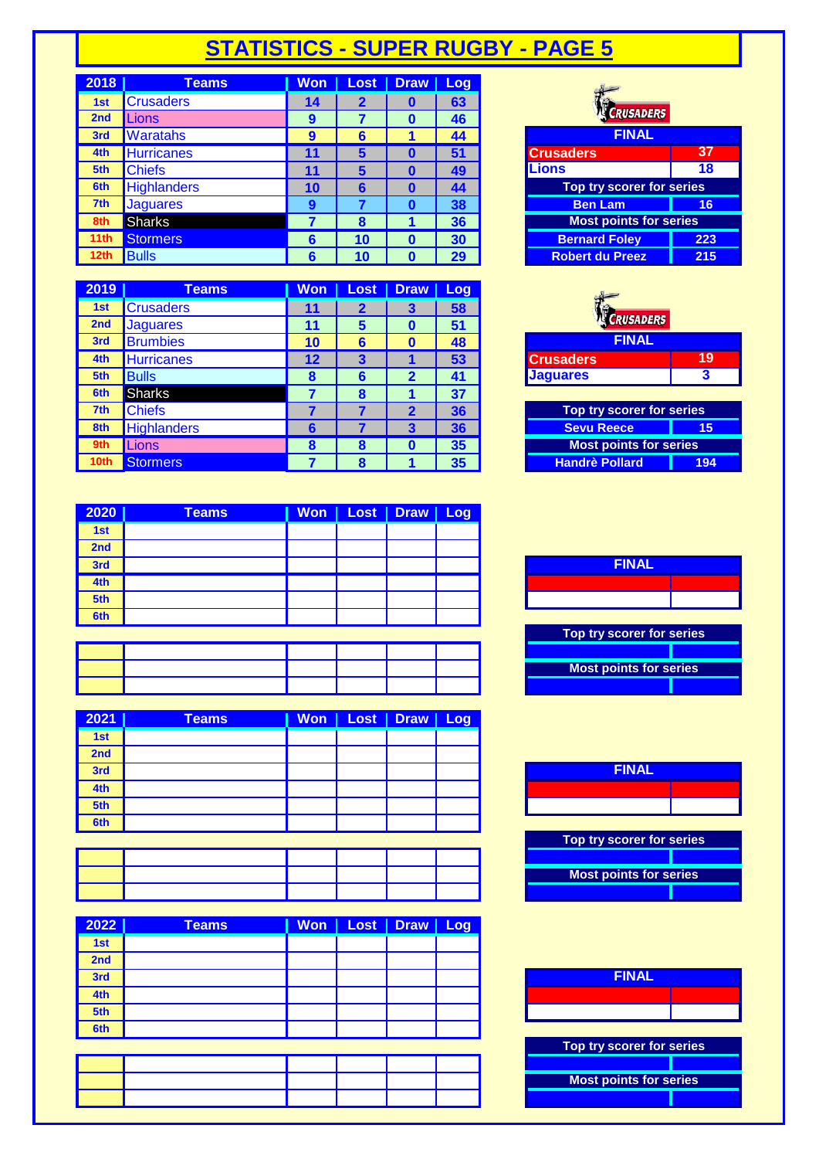### **STATISTICS - SUPER RUGBY - PAGE 5**

| 2018             | Teams              | <b>Won</b> | <b>Lost</b> | <b>Draw</b> | Log |                               |     |
|------------------|--------------------|------------|-------------|-------------|-----|-------------------------------|-----|
| 1st              | <b>Crusaders</b>   | 14         | 2           | o           | 63  |                               |     |
| 2 <sub>nd</sub>  | Lions              | 9          |             |             | 46  | <b>CRUSADERS</b>              |     |
| 3rd              | <b>Waratahs</b>    | 9          | 6           |             | 44  | <b>FINAL</b>                  |     |
| 4th              | <b>Hurricanes</b>  | 11         | 5           |             | 51  | <b>Crusaders</b>              | 37  |
| 5th              | <b>Chiefs</b>      | 11         | 5           |             | 49  | Lions                         | 18  |
| 6th              | <b>Highlanders</b> | 10         | 6           |             | 44  | Top try scorer for series     |     |
| 7th              | <b>Jaguares</b>    | 9          |             |             | 38  | <b>Ben Lam</b>                | 16  |
| 8th              | <b>Sharks</b>      |            | О<br>n      |             | 36  | <b>Most points for series</b> |     |
| 11th             | <b>Stormers</b>    | 6          | 10          |             | 30  | <b>Bernard Foley</b>          | 223 |
| 12 <sub>th</sub> | <b>Bulls</b>       | 6          | 10          |             | 29  | <b>Robert du Preez</b>        | 215 |

| 2019            | <b>Teams</b>       | Won               | Lost | <b>Draw</b> | Log |                               |     |  |
|-----------------|--------------------|-------------------|------|-------------|-----|-------------------------------|-----|--|
| 1st             | <b>Crusaders</b>   | 11                |      | З           | 58  |                               |     |  |
| 2 <sub>nd</sub> | <b>Jaquares</b>    | 11                | 5    |             | 51  | <b>CRUSADERS</b>              |     |  |
| 3rd             | <b>Brumbies</b>    | 10                | 6    |             | 48  | <b>FINAL</b>                  |     |  |
| 4th             | <b>Hurricanes</b>  | $12 \overline{ }$ |      |             | 53  | <b>Crusaders</b>              |     |  |
| 5th             | <b>Bulls</b>       | 8                 | 6    |             | 41  | <b>Jaguares</b>               | 3   |  |
| 6th             | <b>Sharks</b>      |                   | 8    |             | 37  |                               |     |  |
| 7th             | <b>Chiefs</b>      |                   |      | 2           | 36  | Top try scorer for series     |     |  |
| 8th             | <b>Highlanders</b> | 6                 |      | 3           | 36  | <b>Sevu Reece</b>             | 15  |  |
| 9th             | <b>Lions</b>       | 8                 | 8    |             | 35  | <b>Most points for series</b> |     |  |
| 10th            | <b>Stormers</b>    |                   | o    |             | 35  | <b>Handrè Pollard</b>         | 194 |  |

| 2020 | <b>Teams</b> |  | Won   Lost   Draw   Log |  |
|------|--------------|--|-------------------------|--|
| 1st  |              |  |                         |  |
| 2nd  |              |  |                         |  |
| 3rd  |              |  |                         |  |
| 4th  |              |  |                         |  |
| 5th  |              |  |                         |  |
| 6th  |              |  |                         |  |
|      |              |  |                         |  |

| 2021 | <b>Teams</b> |  | Won   Lost   Draw   Log |  |
|------|--------------|--|-------------------------|--|
| 1st  |              |  |                         |  |
| 2nd  |              |  |                         |  |
| 3rd  |              |  |                         |  |
| 4th  |              |  |                         |  |
| 5th  |              |  |                         |  |
| 6th  |              |  |                         |  |

| 2022 | Teams | Won | Lost   Draw   Log |  |
|------|-------|-----|-------------------|--|
| 1st  |       |     |                   |  |
| 2nd  |       |     |                   |  |
| 3rd  |       |     |                   |  |
| 4th  |       |     |                   |  |
| 5th  |       |     |                   |  |
| 6th  |       |     |                   |  |
|      |       |     |                   |  |

| <b>CRUSADERS</b>                 |     |
|----------------------------------|-----|
| <b>FINAL</b>                     |     |
| Crusaders                        | 37  |
| <b>Lions</b>                     | 18  |
| <b>Top try scorer for series</b> |     |
| <b>Ben Lam</b>                   | 16  |
| <b>Most points for series</b>    |     |
| <b>Bernard Foley</b>             | 223 |
| <b>Robert du Preez</b>           | 215 |

| <b>FINAL</b> |  |  |  |  |  |  |  |  |  |
|--------------|--|--|--|--|--|--|--|--|--|
|              |  |  |  |  |  |  |  |  |  |
|              |  |  |  |  |  |  |  |  |  |
|              |  |  |  |  |  |  |  |  |  |

| Top try scorer for series     |  |  |  |  |  |  |  |  |  |
|-------------------------------|--|--|--|--|--|--|--|--|--|
| <b>Sevu Reece</b><br>15       |  |  |  |  |  |  |  |  |  |
| <b>Most points for series</b> |  |  |  |  |  |  |  |  |  |
| <b>Handrè Pollard</b><br>194  |  |  |  |  |  |  |  |  |  |





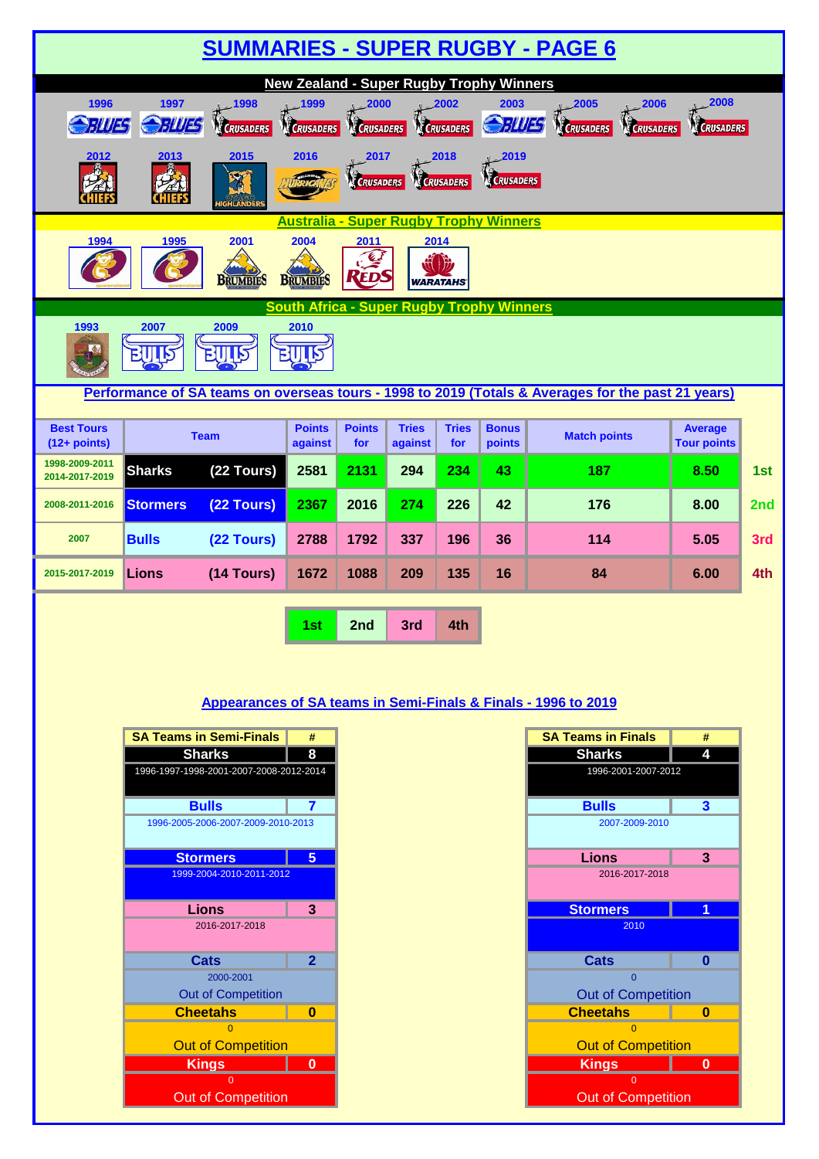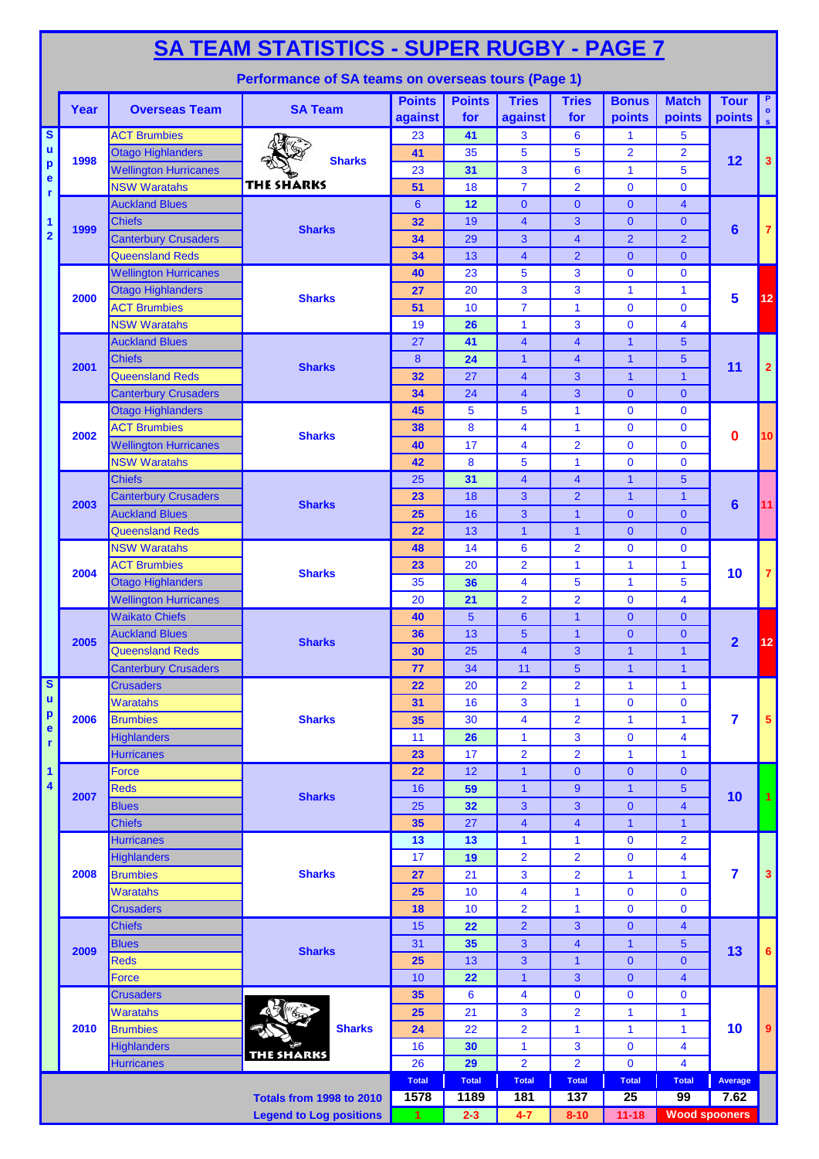|                                        | <b>SA TEAM STATISTICS - SUPER RUGBY - PAGE 7</b> |                                                       |                                                    |                          |                      |                         |                                |                                |                              |                         |                         |  |  |
|----------------------------------------|--------------------------------------------------|-------------------------------------------------------|----------------------------------------------------|--------------------------|----------------------|-------------------------|--------------------------------|--------------------------------|------------------------------|-------------------------|-------------------------|--|--|
|                                        |                                                  |                                                       | Performance of SA teams on overseas tours (Page 1) |                          |                      |                         |                                |                                |                              |                         |                         |  |  |
|                                        | Year                                             | <b>Overseas Team</b>                                  | <b>SA Team</b>                                     | <b>Points</b><br>against | <b>Points</b><br>for | <b>Tries</b><br>against | <b>Tries</b><br>for            | <b>Bonus</b><br>points         | <b>Match</b><br>points       | <b>Tour</b><br>points s | P.                      |  |  |
| $\overline{\mathbf{s}}$<br>$\mathbf u$ |                                                  | <b>ACT Brumbies</b>                                   |                                                    | 23                       | 41                   | 3                       | $6\phantom{1}6$                | 1                              | 5                            |                         |                         |  |  |
| $\mathbf{p}$                           | 1998                                             | <b>Otago Highlanders</b>                              | <b>Sharks</b>                                      | 41                       | 35                   | 5                       | 5                              | $\overline{2}$                 | $\overline{2}$               | 12                      | 3                       |  |  |
| e                                      |                                                  | <b>Wellington Hurricanes</b><br><b>NSW Waratahs</b>   | <b>THE SHARKS</b>                                  | 23                       | 31                   | 3<br>$\overline{7}$     | $6\phantom{1}6$                | 1                              | 5<br>$\overline{0}$          |                         |                         |  |  |
| r                                      |                                                  | <b>Auckland Blues</b>                                 |                                                    | 51<br>$6\phantom{1}6$    | 18<br>12             | $\mathbf{0}$            | $\overline{2}$<br>$\mathbf{0}$ | $\mathbf 0$<br>$\mathbf{0}$    | $\overline{\mathbf{4}}$      |                         |                         |  |  |
| 1                                      |                                                  | <b>Chiefs</b>                                         |                                                    | 32                       | 19                   | $\overline{4}$          | 3                              | $\mathbf{0}$                   | $\overline{0}$               |                         |                         |  |  |
| $\overline{\mathbf{2}}$                | 1999                                             | <b>Canterbury Crusaders</b>                           | <b>Sharks</b>                                      | 34                       | 29                   | 3                       | $\overline{4}$                 | $\overline{2}$                 | $\overline{2}$               | $6\phantom{1}6$         | $\mathbf{7}$            |  |  |
|                                        |                                                  | <b>Queensland Reds</b>                                |                                                    | 34                       | 13                   | $\overline{4}$          | $\overline{2}$                 | $\mathbf{0}$                   | $\mathbf{0}$                 |                         |                         |  |  |
|                                        |                                                  | <b>Wellington Hurricanes</b>                          |                                                    | 40                       | 23                   | 5                       | 3                              | $\Omega$                       | $\bf{0}$                     |                         |                         |  |  |
|                                        |                                                  | <b>Otago Highlanders</b>                              |                                                    | 27                       | 20                   | 3                       | 3                              | $\mathbf{1}$                   | $\mathbf{1}$                 |                         |                         |  |  |
|                                        | 2000                                             | <b>ACT Brumbies</b>                                   | <b>Sharks</b>                                      | 51                       | 10                   | $\overline{7}$          | $\mathbf{1}$                   | $\mathbf{0}$                   | $\overline{0}$               | 5                       | 12                      |  |  |
|                                        |                                                  | <b>NSW Waratahs</b>                                   |                                                    | 19                       | 26                   | 1                       | 3                              | $\mathbf{0}$                   | 4                            |                         |                         |  |  |
|                                        |                                                  | <b>Auckland Blues</b>                                 |                                                    | 27                       | 41                   | 4                       | $\overline{4}$                 | $\mathbf{1}$                   | 5                            |                         |                         |  |  |
|                                        | 2001                                             | <b>Chiefs</b>                                         | <b>Sharks</b>                                      | 8                        | 24                   | $\mathbf{1}$            | $\overline{4}$                 | $\mathbf{1}$                   | 5                            | 11                      | $\overline{2}$          |  |  |
|                                        |                                                  | <b>Queensland Reds</b>                                |                                                    | 32                       | 27                   | $\overline{4}$          | 3                              | $\mathbf{1}$                   | $\mathbf{1}$                 |                         |                         |  |  |
|                                        |                                                  | <b>Canterbury Crusaders</b>                           |                                                    | 34                       | 24                   | $\overline{4}$          | 3                              | $\overline{0}$                 | $\overline{0}$               |                         |                         |  |  |
|                                        |                                                  | <b>Otago Highlanders</b>                              |                                                    | 45                       | 5                    | 5                       | $\mathbf{1}$                   | $\mathbf 0$                    | $\mathbf{0}$                 |                         |                         |  |  |
|                                        | 2002                                             | <b>ACT Brumbies</b>                                   | <b>Sharks</b>                                      | 38                       | 8                    | 4                       | $\mathbf{1}$                   | $\mathbf 0$                    | $\mathbf{0}$                 | 0                       | 10                      |  |  |
|                                        |                                                  | <b>Wellington Hurricanes</b>                          |                                                    | 40                       | 17                   | 4                       | $\overline{2}$                 | $\mathbf{0}$                   | $\bf{0}$                     |                         |                         |  |  |
|                                        |                                                  | <b>NSW Waratahs</b>                                   |                                                    | 42                       | 8                    | 5                       | $\mathbf{1}$                   | $\mathbf 0$                    | $\mathbf 0$                  |                         |                         |  |  |
|                                        |                                                  | <b>Chiefs</b>                                         |                                                    | 25                       | 31                   | 4                       | $\overline{\mathbf{4}}$        | $\mathbf{1}$                   | 5                            |                         |                         |  |  |
|                                        | 2003                                             | <b>Canterbury Crusaders</b>                           | <b>Sharks</b>                                      | 23                       | 18                   | 3                       | $\overline{2}$                 | $\mathbf{1}$                   | $\mathbf{1}$                 | $6\phantom{1}$          | 11                      |  |  |
|                                        |                                                  | <b>Auckland Blues</b>                                 |                                                    | 25                       | 16                   | 3                       | $\mathbf{1}$                   | $\overline{0}$                 | $\overline{0}$               |                         |                         |  |  |
|                                        |                                                  | <b>Queensland Reds</b>                                |                                                    | 22                       | 13                   | $\mathbf{1}$            | $\mathbf{1}$                   | $\overline{0}$                 | $\Omega$                     |                         |                         |  |  |
|                                        | 2004                                             | <b>NSW Waratahs</b>                                   |                                                    | 48                       | 14                   | 6                       | $\overline{2}$                 | $\mathbf{0}$                   | $\bf{0}$                     |                         |                         |  |  |
|                                        |                                                  | <b>ACT Brumbies</b>                                   | <b>Sharks</b>                                      | 23                       | 20                   | $\overline{2}$          | $\mathbf{1}$                   | 1                              | 1                            | 10                      | $\mathbf{7}$            |  |  |
|                                        |                                                  | <b>Otago Highlanders</b>                              |                                                    | 35<br>20                 | 36                   | 4<br>$\overline{2}$     | 5<br>$\overline{2}$            | 1<br>$\mathbf 0$               | 5<br>$\overline{\mathbf{4}}$ |                         |                         |  |  |
|                                        |                                                  | <b>Wellington Hurricanes</b><br><b>Waikato Chiefs</b> |                                                    |                          | 21<br>5              | 6                       | $\overline{1}$                 | $\mathbf{0}$                   | $\mathbf{0}$                 |                         |                         |  |  |
|                                        |                                                  | <b>Auckland Blues</b>                                 |                                                    | 40<br>36                 | 13                   | $5\phantom{.0}$         | $\overline{1}$                 | $\mathbf{0}$                   | $\mathbf{0}$                 |                         |                         |  |  |
|                                        | 2005                                             | <b>Queensland Reds</b>                                | <b>Sharks</b>                                      | 30                       | 25                   | 4                       | 3                              | 1                              | 1                            | $\overline{2}$          | 12                      |  |  |
|                                        |                                                  | <b>Canterbury Crusaders</b>                           |                                                    | 77                       | 34                   | 11                      | 5                              | $\mathbf{1}$                   | $\mathbf{1}$                 |                         |                         |  |  |
| $\overline{\mathbf{s}}$                |                                                  | <b>Crusaders</b>                                      |                                                    | 22                       | 20                   | $\overline{\mathbf{2}}$ | $\overline{2}$                 | $\mathbf{1}$                   | $\mathbf{1}$                 |                         |                         |  |  |
| $\mathbf u$                            |                                                  | <b>Waratahs</b>                                       |                                                    | 31                       | 16                   | 3                       | $\mathbf{1}$                   | $\mathbf 0$                    | $\bf{0}$                     |                         |                         |  |  |
| $\mathbf{p}$                           | 2006                                             | <b>Brumbies</b>                                       | <b>Sharks</b>                                      | 35                       | 30                   | 4                       | $\overline{2}$                 | 1                              | $\mathbf{1}$                 | 7                       | 5 <sup>5</sup>          |  |  |
| e<br>r                                 |                                                  | <b>Highlanders</b>                                    |                                                    | 11                       | 26                   | 1                       | $\mathbf{3}$                   | $\mathbf 0$                    | 4                            |                         |                         |  |  |
|                                        |                                                  | <b>Hurricanes</b>                                     |                                                    | 23                       | 17                   | $\overline{2}$          | $\overline{2}$                 | $\mathbf{1}$                   | $\mathbf{1}$                 |                         |                         |  |  |
| 1                                      |                                                  | <b>Force</b>                                          |                                                    | 22                       | 12                   | $\mathbf{1}$            | $\mathbf{0}$                   | $\mathbf{0}$                   | $\mathbf{0}$                 |                         |                         |  |  |
| 4                                      | 2007                                             | <b>Reds</b>                                           | <b>Sharks</b>                                      | 16                       | 59                   | $\mathbf{1}$            | 9                              | $\mathbf{1}$                   | 5                            | 10                      | 1                       |  |  |
|                                        |                                                  | <b>Blues</b>                                          |                                                    | 25                       | 32                   | 3                       | 3                              | $\overline{0}$                 | $\overline{\mathbf{4}}$      |                         |                         |  |  |
|                                        |                                                  | <b>Chiefs</b>                                         |                                                    | 35                       | 27                   | $\overline{4}$          | $\overline{4}$                 | $\overline{1}$                 | $\overline{1}$               |                         |                         |  |  |
|                                        |                                                  | <b>Hurricanes</b>                                     |                                                    | 13                       | 13                   | 1                       | $\mathbf{1}$                   | $\mathbf 0$                    | $\overline{2}$               |                         |                         |  |  |
|                                        |                                                  | <b>Highlanders</b>                                    |                                                    | 17                       | 19                   | $\overline{2}$          | $\overline{2}$                 | $\mathbf 0$                    | 4                            |                         |                         |  |  |
|                                        | 2008                                             | <b>Brumbies</b>                                       | <b>Sharks</b>                                      | 27                       | 21                   | 3                       | $\overline{2}$                 | 1                              | 1                            | 7                       | $\overline{\mathbf{3}}$ |  |  |
|                                        |                                                  | <b>Waratahs</b>                                       |                                                    | 25                       | 10                   | 4                       | $\mathbf{1}$                   | $\mathbf 0$                    | 0                            |                         |                         |  |  |
|                                        |                                                  | <b>Crusaders</b>                                      |                                                    | 18                       | 10                   | $\overline{2}$          | $\mathbf{1}$                   | 0                              | $\bf{0}$                     |                         |                         |  |  |
|                                        |                                                  | <b>Chiefs</b><br><b>Blues</b>                         |                                                    | 15<br>31                 | 22                   | $\overline{2}$          | 3                              | $\overline{0}$<br>$\mathbf{1}$ | $\overline{4}$               |                         |                         |  |  |
|                                        | 2009                                             | <b>Reds</b>                                           | <b>Sharks</b>                                      |                          | 35<br>13             | 3<br>3                  | $\overline{4}$<br>$\mathbf{1}$ | $\overline{0}$                 | 5<br>$\overline{0}$          | 13                      | 6                       |  |  |
|                                        |                                                  | <b>Force</b>                                          |                                                    | 25<br>10                 | 22                   | $\mathbf{1}$            | 3                              | $\mathbf{0}$                   | $\overline{4}$               |                         |                         |  |  |
|                                        |                                                  | <b>Crusaders</b>                                      |                                                    | 35                       | 6                    | 4                       | $\bf{0}$                       | 0                              | 0                            |                         |                         |  |  |
|                                        |                                                  | <b>Waratahs</b>                                       |                                                    | 25                       | 21                   | 3                       | $\overline{2}$                 | 1                              | 1                            |                         |                         |  |  |
|                                        | 2010                                             | <b>Brumbies</b>                                       | <b>Sharks</b>                                      | 24                       | 22                   | $\overline{2}$          | $\mathbf{1}$                   | 1                              | $\mathbf{1}$                 | 10                      | 9                       |  |  |
|                                        |                                                  | <b>Highlanders</b>                                    |                                                    | 16                       | 30                   | 1                       | 3                              | $\mathbf 0$                    | 4                            |                         |                         |  |  |
|                                        |                                                  | <b>Hurricanes</b>                                     | <b>THE SHARKS</b>                                  | 26                       | 29                   | $\overline{2}$          | $\overline{2}$                 | $\mathbf 0$                    | $\overline{\mathbf{4}}$      |                         |                         |  |  |
|                                        |                                                  |                                                       |                                                    | <b>Total</b>             | <b>Total</b>         | <b>Total</b>            | <b>Total</b>                   | <b>Total</b>                   | <b>Total</b>                 | Average                 |                         |  |  |
|                                        |                                                  |                                                       | <b>Totals from 1998 to 2010</b>                    | 1578                     | 1189                 | 181                     | 137                            | 25                             | 99                           | 7.62                    |                         |  |  |
|                                        |                                                  |                                                       | <b>Legend to Log positions</b>                     | 1                        | $2 - 3$              | $4 - 7$                 | $8 - 10$                       | $11 - 18$                      | <b>Wood spooners</b>         |                         |                         |  |  |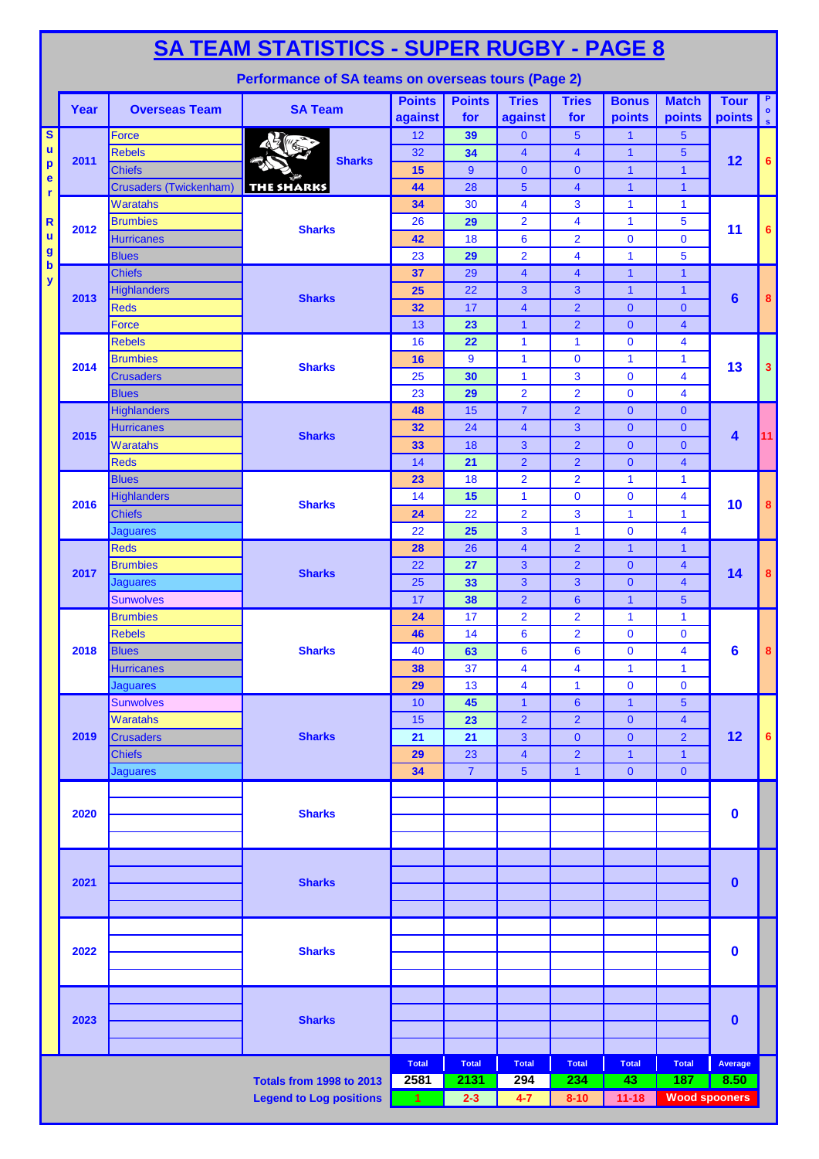|                                           | <b>SA TEAM STATISTICS - SUPER RUGBY - PAGE 8</b><br>Performance of SA teams on overseas tours (Page 2) |                                                |                                 |                          |                      |                                |                                  |                                  |                              |                       |                             |  |  |  |
|-------------------------------------------|--------------------------------------------------------------------------------------------------------|------------------------------------------------|---------------------------------|--------------------------|----------------------|--------------------------------|----------------------------------|----------------------------------|------------------------------|-----------------------|-----------------------------|--|--|--|
|                                           |                                                                                                        |                                                |                                 |                          |                      |                                |                                  |                                  |                              |                       | P                           |  |  |  |
|                                           | Year                                                                                                   | <b>Overseas Team</b>                           | <b>SA Team</b>                  | <b>Points</b><br>against | <b>Points</b><br>for | <b>Tries</b><br>against        | <b>Tries</b><br>for              | <b>Bonus</b><br>points           | <b>Match</b><br>points       | <b>Tour</b><br>points | $\bullet$<br>$\mathsf{I}$ s |  |  |  |
| $\overline{\mathbf{s}}$                   |                                                                                                        | Force                                          |                                 | 12                       | 39                   | $\mathbf{0}$                   | $5\phantom{1}$                   | $\overline{1}$                   | 5                            |                       |                             |  |  |  |
| $\mathbf{u}$<br>$\boldsymbol{\mathsf{p}}$ | 2011                                                                                                   | <b>Rebels</b>                                  | <b>Sharks</b>                   | 32                       | 34                   | $\overline{4}$                 | $\overline{4}$                   | $\overline{1}$                   | 5                            | 12                    | 6                           |  |  |  |
| e                                         |                                                                                                        | <b>Chiefs</b><br><b>Crusaders (Twickenham)</b> | <b>THE SHARKS</b>               | 15<br>44                 | 9<br>28              | $\mathbf{0}$<br>$\overline{5}$ | $\mathbf{0}$<br>$\overline{4}$   | $\overline{1}$<br>$\overline{1}$ | $\mathbf{1}$<br>$\mathbf{1}$ |                       |                             |  |  |  |
| r                                         |                                                                                                        | Waratahs                                       |                                 | 34                       | 30                   | $\overline{\mathbf{4}}$        | $\mathbf{3}$                     | $\mathbf{1}$                     | $\mathbf{1}$                 |                       |                             |  |  |  |
| R                                         |                                                                                                        | <b>Brumbies</b>                                |                                 | 26                       | 29                   | $\overline{2}$                 | 4                                | 1                                | 5                            |                       |                             |  |  |  |
| u                                         | 2012                                                                                                   | <b>Hurricanes</b>                              | <b>Sharks</b>                   | 42                       | 18                   | 6                              | $\overline{2}$                   | $\mathbf{0}$                     | $\mathbf 0$                  | 11                    | 6                           |  |  |  |
| $\boldsymbol{g}$                          |                                                                                                        | <b>Blues</b>                                   |                                 | 23                       | 29                   | $\overline{2}$                 | $\overline{4}$                   | $\mathbf{1}$                     | 5                            |                       |                             |  |  |  |
| $\mathbf b$<br>y                          |                                                                                                        | <b>Chiefs</b>                                  |                                 | 37                       | 29                   | $\overline{4}$                 | $\overline{4}$                   | $\overline{1}$                   | $\mathbf{1}$                 |                       |                             |  |  |  |
|                                           | 2013                                                                                                   | <b>Highlanders</b>                             | <b>Sharks</b>                   | 25                       | 22                   | 3                              | 3                                | $\mathbf{1}$                     | $\mathbf{1}$                 | 6                     | 8                           |  |  |  |
|                                           |                                                                                                        | <b>Reds</b>                                    |                                 | 32                       | 17                   | $\overline{\mathbf{4}}$        | $\overline{2}$                   | $\mathbf{0}$                     | $\mathbf{0}$                 |                       |                             |  |  |  |
|                                           |                                                                                                        | Force                                          |                                 | 13                       | 23                   | $\mathbf{1}$                   | $\overline{2}$                   | $\mathbf{0}$                     | $\overline{\mathbf{4}}$      |                       |                             |  |  |  |
|                                           |                                                                                                        | <b>Rebels</b>                                  |                                 | 16                       | 22                   | $\mathbf{1}$                   | $\mathbf{1}$                     | $\mathbf 0$                      | 4                            |                       |                             |  |  |  |
|                                           | 2014                                                                                                   | <b>Brumbies</b>                                | <b>Sharks</b>                   | 16<br>25                 | 9<br>30              | $\mathbf{1}$<br>$\mathbf{1}$   | $\mathbf 0$<br>3                 | $\mathbf{1}$<br>$\mathbf 0$      | 1<br>4                       | 13                    | $\mathbf{3}$                |  |  |  |
|                                           |                                                                                                        | <b>Crusaders</b><br><b>Blues</b>               |                                 | 23                       | 29                   | $\overline{2}$                 | $\overline{2}$                   | $\mathbf 0$                      | $\overline{\mathbf{4}}$      |                       |                             |  |  |  |
|                                           |                                                                                                        | Highlanders                                    |                                 | 48                       | 15                   | $\overline{7}$                 | $\overline{2}$                   | $\mathbf{0}$                     | $\mathbf{0}$                 |                       |                             |  |  |  |
|                                           |                                                                                                        | <b>Hurricanes</b>                              |                                 | 32                       | 24                   | $\overline{4}$                 | 3                                | $\mathbf{0}$                     | $\mathbf{0}$                 |                       |                             |  |  |  |
|                                           | 2015                                                                                                   | Waratahs                                       | <b>Sharks</b>                   | 33                       | 18                   | 3                              | $\overline{2}$                   | $\mathbf{0}$                     | $\mathbf{0}$                 | $\blacktriangleleft$  | 11                          |  |  |  |
|                                           |                                                                                                        | <b>Reds</b>                                    |                                 | 14                       | 21                   | $\overline{2}$                 | $\overline{2}$                   | $\mathbf{0}$                     | $\overline{4}$               |                       |                             |  |  |  |
|                                           |                                                                                                        | <b>Blues</b>                                   |                                 | 23                       | 18                   | $\overline{2}$                 | $\overline{2}$                   | $\mathbf{1}$                     | 1                            |                       |                             |  |  |  |
|                                           | 2016                                                                                                   | <b>Highlanders</b>                             | <b>Sharks</b>                   | 14                       | 15                   | $\mathbf{1}$                   | $\mathbf 0$                      | $\mathbf 0$                      | 4                            | 10                    | 8                           |  |  |  |
|                                           |                                                                                                        | <b>Chiefs</b>                                  |                                 | 24                       | 22                   | $\overline{2}$                 | 3                                | 1                                | 1                            |                       |                             |  |  |  |
|                                           |                                                                                                        | <b>Jaguares</b>                                |                                 | 22                       | 25                   | 3                              | $\mathbf{1}$                     | $\mathbf{0}$                     | 4                            |                       |                             |  |  |  |
|                                           |                                                                                                        | <b>Reds</b>                                    |                                 | 28                       | 26                   | $\overline{\mathbf{4}}$        | $\overline{2}$                   | $\mathbf{1}$                     | 1                            |                       |                             |  |  |  |
|                                           | 2017                                                                                                   | <b>Brumbies</b>                                | <b>Sharks</b>                   | 22                       | 27                   | 3                              | $\overline{2}$                   | $\mathbf{0}$                     | $\overline{\mathbf{4}}$      | 14                    | 8                           |  |  |  |
|                                           |                                                                                                        | Jaguares                                       |                                 | 25                       | 33                   | 3                              | 3                                | $\mathbf{0}$                     | $\overline{\mathbf{4}}$      |                       |                             |  |  |  |
|                                           |                                                                                                        | <b>Sunwolves</b>                               |                                 | 17                       | 38<br>17             | $\overline{2}$                 | $6\phantom{1}6$                  | $\overline{1}$                   | 5                            |                       |                             |  |  |  |
|                                           |                                                                                                        | <b>Brumbies</b><br><b>Rebels</b>               |                                 | 24<br>46                 | 14                   | $\overline{2}$<br>6            | $\overline{2}$<br>$\overline{2}$ | $\mathbf{1}$<br>$\mathbf{0}$     | 1<br>0                       |                       |                             |  |  |  |
|                                           | 2018                                                                                                   | <b>Blues</b>                                   | <b>Sharks</b>                   | 40                       | 63                   | 6                              | 6                                | $\mathbf 0$                      | 4                            | 6                     | $\bf{8}$                    |  |  |  |
|                                           |                                                                                                        | <b>Hurricanes</b>                              |                                 | 38                       | 37                   | 4                              | 4                                | $\mathbf{1}$                     | 1                            |                       |                             |  |  |  |
|                                           |                                                                                                        | <b>Jaquares</b>                                |                                 | 29                       | 13                   | $\overline{4}$                 | $\mathbf{1}$                     | $\mathbf{0}$                     | $\overline{0}$               |                       |                             |  |  |  |
|                                           |                                                                                                        | <b>Sunwolves</b>                               |                                 | 10                       | 45                   | 1                              | $6\phantom{1}$                   | $\mathbf{1}$                     | 5                            |                       |                             |  |  |  |
|                                           |                                                                                                        | <b>Waratahs</b>                                |                                 | 15                       | 23                   | $\overline{2}$                 | $\overline{2}$                   | $\mathbf{0}$                     | $\overline{\mathbf{4}}$      |                       |                             |  |  |  |
|                                           | 2019                                                                                                   | <b>Crusaders</b>                               | <b>Sharks</b>                   | 21                       | 21                   | 3                              | $\mathbf{0}$                     | $\mathbf{0}$                     | $\overline{2}$               | 12                    | 6                           |  |  |  |
|                                           |                                                                                                        | <b>Chiefs</b>                                  |                                 | 29                       | 23                   | $\overline{\mathbf{4}}$        | $\overline{2}$                   | $\mathbf{1}$                     | $\mathbf{1}$                 |                       |                             |  |  |  |
|                                           |                                                                                                        | <b>Jaguares</b>                                |                                 | 34                       | $\overline{7}$       | $5\phantom{1}$                 | $\overline{1}$                   | $\mathbf{0}$                     | $\overline{0}$               |                       |                             |  |  |  |
|                                           |                                                                                                        |                                                |                                 |                          |                      |                                |                                  |                                  |                              |                       |                             |  |  |  |
|                                           | 2020                                                                                                   |                                                | <b>Sharks</b>                   |                          |                      |                                |                                  |                                  |                              | 0                     |                             |  |  |  |
|                                           |                                                                                                        |                                                |                                 |                          |                      |                                |                                  |                                  |                              |                       |                             |  |  |  |
|                                           |                                                                                                        |                                                |                                 |                          |                      |                                |                                  |                                  |                              |                       |                             |  |  |  |
|                                           |                                                                                                        |                                                |                                 |                          |                      |                                |                                  |                                  |                              |                       |                             |  |  |  |
|                                           | 2021                                                                                                   |                                                | <b>Sharks</b>                   |                          |                      |                                |                                  |                                  |                              | $\bf{0}$              |                             |  |  |  |
|                                           |                                                                                                        |                                                |                                 |                          |                      |                                |                                  |                                  |                              |                       |                             |  |  |  |
|                                           |                                                                                                        |                                                |                                 |                          |                      |                                |                                  |                                  |                              |                       |                             |  |  |  |
|                                           | 2022                                                                                                   |                                                | <b>Sharks</b>                   |                          |                      |                                |                                  |                                  |                              | $\mathbf 0$           |                             |  |  |  |
|                                           |                                                                                                        |                                                |                                 |                          |                      |                                |                                  |                                  |                              |                       |                             |  |  |  |
|                                           |                                                                                                        |                                                |                                 |                          |                      |                                |                                  |                                  |                              |                       |                             |  |  |  |
|                                           |                                                                                                        |                                                |                                 |                          |                      |                                |                                  |                                  |                              |                       |                             |  |  |  |
|                                           | 2023                                                                                                   |                                                | <b>Sharks</b>                   |                          |                      |                                |                                  |                                  |                              | 0                     |                             |  |  |  |
|                                           |                                                                                                        |                                                |                                 |                          |                      |                                |                                  |                                  |                              |                       |                             |  |  |  |
|                                           |                                                                                                        |                                                |                                 | <b>Total</b>             | <b>Total</b>         | <b>Total</b>                   | <b>Total</b>                     | <b>Total</b>                     | <b>Total</b>                 | Average               |                             |  |  |  |
|                                           |                                                                                                        |                                                | <b>Totals from 1998 to 2013</b> | 2581                     | 2131                 | 294                            | 234                              | 43                               | 187                          | 8.50                  |                             |  |  |  |
|                                           |                                                                                                        |                                                | <b>Legend to Log positions</b>  | 1                        | $2 - 3$              | $4 - 7$                        | $8 - 10$                         | $11 - 18$                        | <b>Wood spooners</b>         |                       |                             |  |  |  |
|                                           |                                                                                                        |                                                |                                 |                          |                      |                                |                                  |                                  |                              |                       |                             |  |  |  |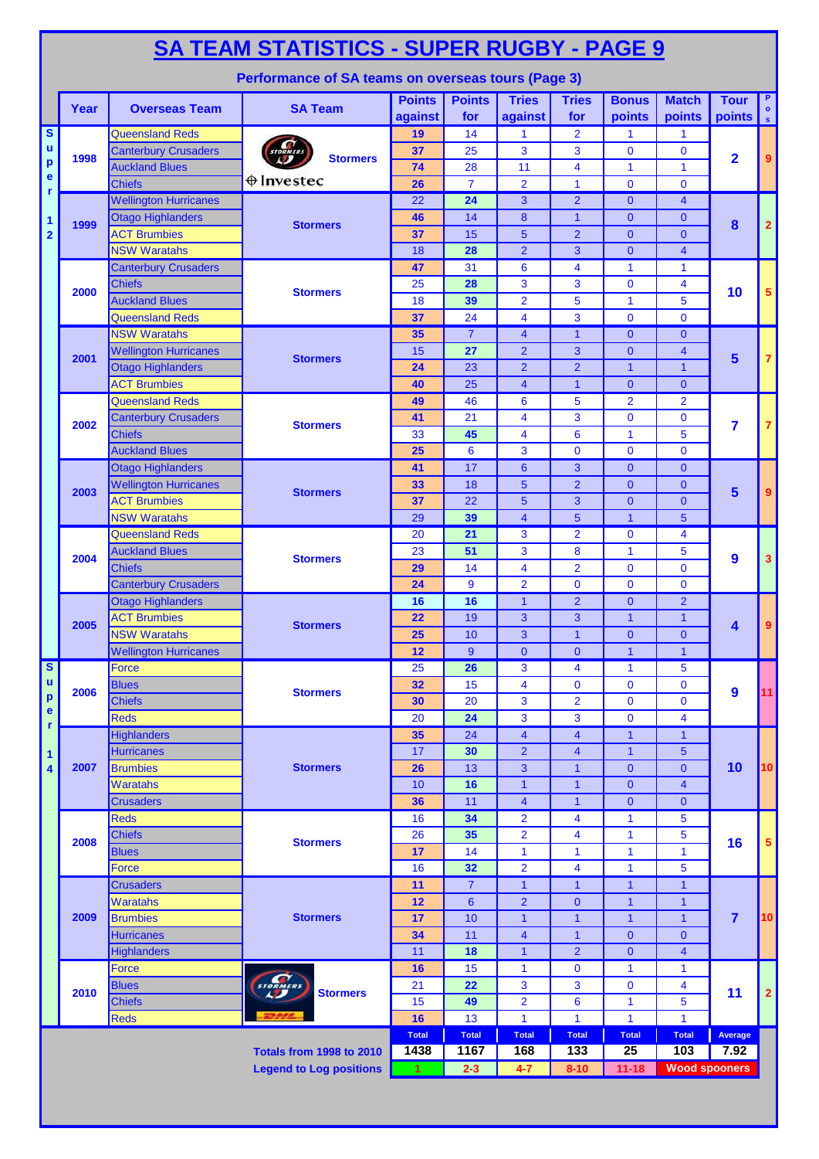|                              | <b>SA TEAM STATISTICS - SUPER RUGBY - PAGE 9</b><br>Performance of SA teams on overseas tours (Page 3) |                                                          |                                 |                          |                      |                                  |                               |                              |                                  |                                |                 |  |  |  |
|------------------------------|--------------------------------------------------------------------------------------------------------|----------------------------------------------------------|---------------------------------|--------------------------|----------------------|----------------------------------|-------------------------------|------------------------------|----------------------------------|--------------------------------|-----------------|--|--|--|
|                              |                                                                                                        |                                                          |                                 |                          |                      |                                  |                               |                              |                                  |                                | P.              |  |  |  |
|                              | Year                                                                                                   | <b>Overseas Team</b>                                     | <b>SA Team</b>                  | <b>Points</b><br>against | <b>Points</b><br>for | <b>Tries</b><br>against          | <b>Tries</b><br>for           | <b>Bonus</b><br>points       | <b>Match</b><br>points           | <b>Tour</b><br>$\text{points}$ |                 |  |  |  |
| S                            |                                                                                                        | <b>Queensland Reds</b>                                   |                                 | 19                       | 14                   | 1                                | $\overline{2}$                | $\mathbf{1}$                 | $\mathbf{1}$                     |                                |                 |  |  |  |
| u                            | 1998                                                                                                   | <b>Canterbury Crusaders</b>                              | <b>Stormers</b>                 | 37                       | 25                   | 3                                | 3                             | $\mathbf{0}$                 | $\bf{0}$                         | $\overline{2}$                 | 9               |  |  |  |
| p<br>e                       |                                                                                                        | <b>Auckland Blues</b>                                    |                                 | 74                       | 28                   | 11                               | $\overline{\mathbf{4}}$       | $\mathbf{1}$                 | $\mathbf{1}$                     |                                |                 |  |  |  |
| r                            |                                                                                                        | <b>Chiefs</b>                                            | $\oplus$ Investec               | 26                       | $\overline{7}$       | $\overline{2}$                   | $\mathbf{1}$                  | $\mathbf{0}$                 | $\overline{0}$                   |                                |                 |  |  |  |
|                              |                                                                                                        | <b>Wellington Hurricanes</b>                             |                                 | 22                       | 24                   | 3                                | $\overline{2}$                | $\mathbf{0}$                 | $\overline{4}$                   |                                |                 |  |  |  |
| 1                            | 1999                                                                                                   | Otago Highlanders                                        | <b>Stormers</b>                 | 46                       | 14                   | 8                                | $\mathbf{1}$                  | $\mathbf{0}$                 | $\overline{0}$                   | 8                              | $\overline{2}$  |  |  |  |
| $\overline{2}$               |                                                                                                        | <b>ACT Brumbies</b><br><b>NSW Waratahs</b>               |                                 | 37                       | 15<br>28             | 5 <sup>5</sup><br>$\overline{2}$ | $\overline{2}$<br>3           | $\mathbf{0}$<br>$\Omega$     | $\overline{0}$<br>$\overline{4}$ |                                |                 |  |  |  |
|                              |                                                                                                        | <b>Canterbury Crusaders</b>                              |                                 | 18<br>47                 | 31                   | $6\phantom{1}6$                  | $\overline{\mathbf{4}}$       | $\mathbf 1$                  | $\mathbf{1}$                     |                                |                 |  |  |  |
|                              |                                                                                                        | <b>Chiefs</b>                                            |                                 | 25                       | 28                   | 3                                | 3                             | $\mathbf{0}$                 | 4                                |                                |                 |  |  |  |
|                              | 2000                                                                                                   | <b>Auckland Blues</b>                                    | <b>Stormers</b>                 | 18                       | 39                   | $\overline{2}$                   | 5                             | $\mathbf{1}$                 | 5                                | 10                             | 5 <sub>5</sub>  |  |  |  |
|                              |                                                                                                        | <b>Queensland Reds</b>                                   |                                 | 37                       | 24                   | $\overline{4}$                   | 3                             | $\mathbf 0$                  | $\mathbf{0}$                     |                                |                 |  |  |  |
|                              |                                                                                                        | <b>NSW Waratahs</b>                                      |                                 | 35                       | $\overline{7}$       | $\overline{4}$                   | $\mathbf{1}$                  | $\mathbf{0}$                 | $\mathbf{0}$                     |                                |                 |  |  |  |
|                              | 2001                                                                                                   | <b>Wellington Hurricanes</b>                             | <b>Stormers</b>                 | 15                       | 27                   | $\overline{2}$                   | 3                             | $\mathbf{0}$                 | $\overline{4}$                   | 5                              | $\overline{7}$  |  |  |  |
|                              |                                                                                                        | <b>Otago Highlanders</b>                                 |                                 | 24                       | 23                   | $\overline{2}$                   | $\overline{2}$                | $\mathbf{1}$                 | $\mathbf{1}$                     |                                |                 |  |  |  |
|                              |                                                                                                        | <b>ACT Brumbies</b>                                      |                                 | 40                       | 25                   | $\overline{\mathbf{4}}$          | $\overline{1}$                | $\mathbf{0}$                 | $\Omega$                         |                                |                 |  |  |  |
|                              |                                                                                                        | <b>Queensland Reds</b>                                   |                                 | 49                       | 46                   | 6                                | 5                             | $\overline{2}$               | $\overline{2}$                   |                                |                 |  |  |  |
|                              | 2002                                                                                                   | <b>Canterbury Crusaders</b>                              | <b>Stormers</b>                 | 41                       | 21                   | $\overline{4}$                   | 3                             | $\mathbf{0}$                 | $\mathbf 0$                      | 7                              | $\overline{7}$  |  |  |  |
|                              |                                                                                                        | <b>Chiefs</b>                                            |                                 | 33                       | 45                   | 4                                | $6\phantom{1}6$               | $\mathbf{1}$                 | 5                                |                                |                 |  |  |  |
|                              |                                                                                                        | <b>Auckland Blues</b>                                    |                                 | 25                       | $6\phantom{1}6$      | 3                                | $\mathbf 0$                   | $\mathbf 0$                  | $\mathbf 0$                      |                                |                 |  |  |  |
|                              |                                                                                                        | <b>Otago Highlanders</b><br><b>Wellington Hurricanes</b> |                                 | 41<br>33                 | 17<br>18             | 6<br>$\overline{5}$              | 3<br>$\overline{2}$           | $\mathbf{0}$<br>$\mathbf{0}$ | $\mathbf{0}$<br>$\mathbf{0}$     |                                |                 |  |  |  |
|                              | 2003                                                                                                   | <b>ACT Brumbies</b>                                      | <b>Stormers</b>                 | 37                       | 22                   | $\overline{5}$                   | 3                             | $\mathbf{0}$                 | $\mathbf{0}$                     | 5                              | 9               |  |  |  |
|                              |                                                                                                        | <b>NSW Waratahs</b>                                      |                                 | 29                       | 39                   | $\overline{4}$                   | $5\phantom{1}$                | $\mathbf{1}$                 | 5                                |                                |                 |  |  |  |
|                              |                                                                                                        | <b>Queensland Reds</b>                                   |                                 | 20                       | 21                   | 3                                | $\overline{2}$                | $\mathbf 0$                  | 4                                |                                |                 |  |  |  |
|                              |                                                                                                        | <b>Auckland Blues</b>                                    |                                 | 23                       | 51                   | 3                                | 8                             | $\mathbf{1}$                 | 5                                |                                |                 |  |  |  |
|                              | 2004                                                                                                   | <b>Chiefs</b>                                            | <b>Stormers</b>                 | 29                       | 14                   | $\overline{\mathbf{4}}$          | $\overline{2}$                | $\mathbf{0}$                 | $\mathbf 0$                      | 9                              | 3               |  |  |  |
|                              |                                                                                                        | <b>Canterbury Crusaders</b>                              |                                 | 24                       | 9                    | $\overline{2}$                   | $\bf{0}$                      | $\mathbf{0}$                 | $\overline{0}$                   |                                |                 |  |  |  |
|                              |                                                                                                        | <b>Otago Highlanders</b>                                 |                                 | 16                       | 16                   | 1                                | $\overline{2}$                | $\mathbf{0}$                 | $\overline{2}$                   |                                |                 |  |  |  |
|                              | 2005                                                                                                   | <b>ACT Brumbies</b>                                      | <b>Stormers</b>                 | 22                       | 19                   | 3                                | 3                             | $\mathbf{1}$                 | $\mathbf{1}$                     | 4                              | 9               |  |  |  |
|                              |                                                                                                        | <b>NSW Waratahs</b>                                      |                                 | 25                       | 10                   | 3                                | $\mathbf{1}$                  | $\mathbf{0}$                 | $\mathbf{0}$                     |                                |                 |  |  |  |
|                              |                                                                                                        | <b>Wellington Hurricanes</b>                             |                                 | 12                       | 9                    | $\overline{0}$                   | $\mathbf{0}$                  | $\mathbf{1}$                 | $\mathbf{1}$                     |                                |                 |  |  |  |
| $\overline{\mathbf{s}}$<br>u |                                                                                                        | Force                                                    |                                 | 25                       | 26                   | 3                                | 4                             | 1                            | 5                                |                                |                 |  |  |  |
| p                            | 2006                                                                                                   | <b>Blues</b><br><b>Chiefs</b>                            | <b>Stormers</b>                 | 32<br>30                 | 15<br>20             | 4<br>3                           | $\mathbf 0$<br>$\overline{2}$ | $\mathbf{0}$<br>$\mathbf{0}$ | $\mathbf{0}$<br>$\mathbf{0}$     | $\boldsymbol{9}$               | 11              |  |  |  |
| e                            |                                                                                                        | <b>Reds</b>                                              |                                 | 20                       | 24                   | 3                                | 3                             | $\mathbf{0}$                 | $\overline{\mathbf{4}}$          |                                |                 |  |  |  |
| r                            |                                                                                                        | <b>Highlanders</b>                                       |                                 | 35                       | 24                   | $\overline{\mathbf{4}}$          | $\overline{\mathbf{4}}$       | $\mathbf{1}$                 | $\mathbf{1}$                     |                                |                 |  |  |  |
| 1                            |                                                                                                        | <b>Hurricanes</b>                                        |                                 | 17                       | 30                   | $\overline{2}$                   | $\overline{\mathbf{4}}$       | $\mathbf{1}$                 | 5                                |                                |                 |  |  |  |
| 4                            | 2007                                                                                                   | <b>Brumbies</b>                                          | <b>Stormers</b>                 | 26                       | 13                   | 3                                | $\mathbf{1}$                  | $\mathbf{0}$                 | $\mathbf{0}$                     | 10                             | 10 <sup>1</sup> |  |  |  |
|                              |                                                                                                        | <b>Waratahs</b>                                          |                                 | 10                       | 16                   | $\mathbf{1}$                     | $\mathbf{1}$                  | $\mathbf{0}$                 | $\overline{4}$                   |                                |                 |  |  |  |
|                              |                                                                                                        | <b>Crusaders</b>                                         |                                 | 36                       | 11                   | $\overline{4}$                   | $\mathbf{1}$                  | $\mathbf{0}$                 | $\overline{0}$                   |                                |                 |  |  |  |
|                              |                                                                                                        | <b>Reds</b>                                              |                                 | 16                       | 34                   | $\overline{2}$                   | 4                             | $\mathbf{1}$                 | 5                                |                                |                 |  |  |  |
|                              | 2008                                                                                                   | <b>Chiefs</b>                                            | <b>Stormers</b>                 | 26                       | 35                   | $\overline{2}$                   | $\overline{4}$                | $\mathbf{1}$                 | 5                                | 16                             | 5 <sup>5</sup>  |  |  |  |
|                              |                                                                                                        | <b>Blues</b>                                             |                                 | 17                       | 14                   | $\mathbf{1}$                     | $\mathbf{1}$                  | $\mathbf{1}$                 | $\mathbf{1}$                     |                                |                 |  |  |  |
|                              |                                                                                                        | Force                                                    |                                 | 16                       | 32<br>$\overline{7}$ | $\overline{2}$                   | 4                             | $\mathbf{1}$                 | 5                                |                                |                 |  |  |  |
|                              |                                                                                                        | <b>Crusaders</b><br><b>Waratahs</b>                      |                                 | 11<br>12                 | $6\phantom{1}6$      | 1<br>$\overline{2}$              | $\mathbf{1}$<br>$\mathbf{0}$  | $\mathbf{1}$<br>$\mathbf{1}$ | $\mathbf{1}$<br>$\mathbf{1}$     |                                |                 |  |  |  |
|                              | 2009                                                                                                   | <b>Brumbies</b>                                          | <b>Stormers</b>                 | 17                       | 10                   | 1                                | $\mathbf{1}$                  | $\mathbf{1}$                 | $\mathbf{1}$                     | $\overline{7}$                 | 10              |  |  |  |
|                              |                                                                                                        | <b>Hurricanes</b>                                        |                                 | 34                       | 11                   | $\overline{\mathbf{4}}$          | $\mathbf{1}$                  | $\mathbf{0}$                 | $\mathbf{0}$                     |                                |                 |  |  |  |
|                              |                                                                                                        | <b>Highlanders</b>                                       |                                 | 11                       | 18                   | $\mathbf{1}$                     | $\overline{2}$                | $\mathbf{0}$                 | $\overline{4}$                   |                                |                 |  |  |  |
|                              |                                                                                                        | <b>Force</b>                                             |                                 | 16                       | 15                   | 1                                | $\bf{0}$                      | 1                            | $\mathbf{1}$                     |                                |                 |  |  |  |
|                              | 2010                                                                                                   | <b>Blues</b>                                             | STORMERS<br><b>Stormers</b>     | 21                       | 22                   | 3                                | 3                             | $\mathbf{0}$                 | $\overline{4}$                   | 11                             | $\overline{2}$  |  |  |  |
|                              |                                                                                                        | <b>Chiefs</b>                                            |                                 | 15                       | 49                   | $\overline{2}$                   | $6\phantom{1}6$               | 1                            | 5                                |                                |                 |  |  |  |
|                              |                                                                                                        | <b>Reds</b>                                              | <b>EDAYA</b>                    | 16                       | 13                   | $\mathbf{1}$                     | $\mathbf{1}$                  | $\mathbf{1}$                 | $\mathbf{1}$                     |                                |                 |  |  |  |
|                              |                                                                                                        |                                                          |                                 | <b>Total</b>             | <b>Total</b>         | <b>Total</b>                     | <b>Total</b>                  | <b>Total</b>                 | <b>Total</b>                     | Average                        |                 |  |  |  |
|                              |                                                                                                        |                                                          | <b>Totals from 1998 to 2010</b> | 1438                     | 1167<br>$2 - 3$      | 168                              | 133                           | 25                           | 103                              | 7.92                           |                 |  |  |  |
|                              |                                                                                                        |                                                          | <b>Legend to Log positions</b>  | 1                        |                      | $4 - 7$                          | $8 - 10$                      | $11 - 18$                    | <b>Wood spooners</b>             |                                |                 |  |  |  |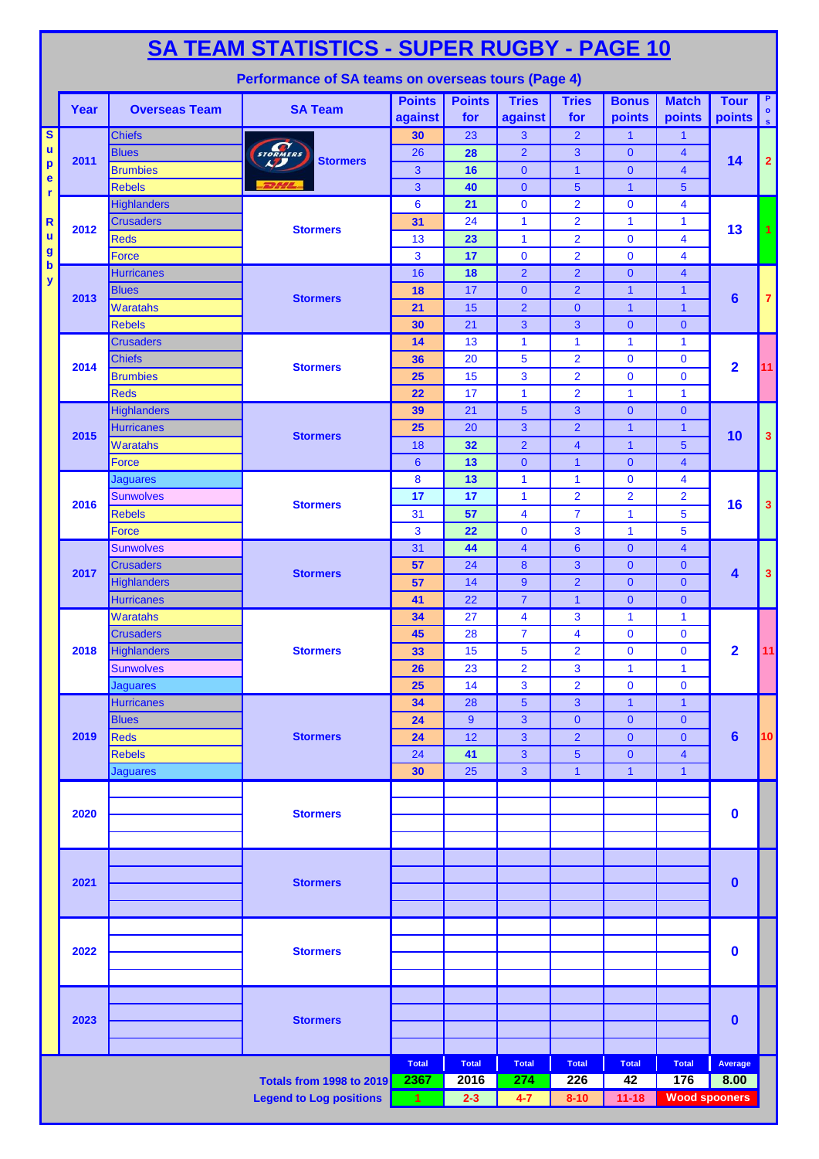|                                          | SA TEAM STATISTICS - SUPER RUGBY - PAGE 10<br>Performance of SA teams on overseas tours (Page 4) |                                        |                                |                       |                |                      |                                           |                              |                                         |                              |                |  |  |
|------------------------------------------|--------------------------------------------------------------------------------------------------|----------------------------------------|--------------------------------|-----------------------|----------------|----------------------|-------------------------------------------|------------------------------|-----------------------------------------|------------------------------|----------------|--|--|
|                                          |                                                                                                  |                                        |                                | <b>Points</b>         | <b>Points</b>  | <b>Tries</b>         | <b>Tries</b>                              | <b>Bonus</b>                 | <b>Match</b>                            | <b>Tour</b>                  | P.             |  |  |
|                                          | Year                                                                                             | <b>Overseas Team</b>                   | <b>SA Team</b>                 | against               | for            | against              | for                                       | points                       | points                                  | $\overline{\mathsf{points}}$ | $\bullet$      |  |  |
| $\overline{\mathbf{s}}$                  |                                                                                                  | <b>Chiefs</b>                          |                                | 30                    | 23             | 3                    | $\overline{2}$                            | $\mathbf{1}$                 | $\mathbf{1}$                            |                              |                |  |  |
| $\mathbf u$<br>$\boldsymbol{\mathsf{p}}$ | 2011                                                                                             | <b>Blues</b>                           | STORMERS<br><b>Stormers</b>    | 26                    | 28             | $\overline{2}$       | $\overline{\mathbf{3}}$                   | $\mathbf{0}$                 | 4                                       | 14                           | $\overline{2}$ |  |  |
| e                                        |                                                                                                  | <b>Brumbies</b>                        |                                | 3                     | 16             | $\mathbf{0}$         | $\mathbf{1}$                              | $\mathbf{0}$                 | $\overline{4}$                          |                              |                |  |  |
| $\mathbf{r}$                             |                                                                                                  | <b>Rebels</b>                          | <b>BHL</b>                     | 3                     | 40             | $\mathbf{0}$         | $5\phantom{1}$                            | $\mathbf{1}$                 | 5                                       |                              |                |  |  |
| $\mathbf R$                              |                                                                                                  | <b>Highlanders</b><br><b>Crusaders</b> |                                | $6\phantom{1}6$<br>31 | 21<br>24       | $\mathbf 0$<br>1     | $\overline{2}$<br>$\overline{2}$          | $\mathbf 0$<br>$\mathbf{1}$  | $\overline{\mathbf{4}}$<br>$\mathbf{1}$ |                              |                |  |  |
| ū                                        | 2012                                                                                             | <b>Reds</b>                            | <b>Stormers</b>                | 13                    | 23             | $\mathbf{1}$         | $\overline{2}$                            | $\mathbf{0}$                 | $\overline{\mathbf{4}}$                 | 13                           | 1              |  |  |
| $\boldsymbol{g}$                         |                                                                                                  | <b>Force</b>                           |                                | $\mathbf{3}$          | 17             | $\mathbf 0$          | $\overline{2}$                            | $\mathbf 0$                  | $\overline{\mathbf{4}}$                 |                              |                |  |  |
| $\boldsymbol{\mathsf{b}}$                |                                                                                                  | <b>Hurricanes</b>                      |                                | 16                    | 18             | $\overline{2}$       | $\overline{2}$                            | $\mathbf{0}$                 | $\overline{\mathbf{4}}$                 |                              |                |  |  |
| y                                        |                                                                                                  | <b>Blues</b>                           |                                | 18                    | 17             | $\mathbf{0}$         | $\overline{2}$                            | $\mathbf{1}$                 | $\mathbf{1}$                            |                              |                |  |  |
|                                          | 2013                                                                                             | <b>Waratahs</b>                        | <b>Stormers</b>                | 21                    | 15             | $\overline{2}$       | $\mathbf 0$                               | $\mathbf{1}$                 | $\overline{1}$                          | $6\phantom{1}$               | $\overline{7}$ |  |  |
|                                          |                                                                                                  | <b>Rebels</b>                          |                                | 30                    | 21             | 3                    | 3                                         | $\overline{0}$               | $\mathbf{0}$                            |                              |                |  |  |
|                                          |                                                                                                  | <b>Crusaders</b>                       |                                | 14                    | 13             | 1                    | $\mathbf{1}$                              | 1                            | 1                                       |                              |                |  |  |
|                                          | 2014                                                                                             | <b>Chiefs</b>                          | <b>Stormers</b>                | 36                    | 20             | $\overline{5}$       | $\overline{2}$                            | $\mathbf 0$                  | $\mathbf 0$                             | $\overline{\mathbf{2}}$      | 11             |  |  |
|                                          |                                                                                                  | <b>Brumbies</b>                        |                                | 25                    | 15             | 3                    | $\overline{2}$                            | $\mathbf 0$                  | $\mathbf 0$                             |                              |                |  |  |
|                                          |                                                                                                  | <b>Reds</b>                            |                                | 22                    | 17             | 1                    | $\overline{2}$                            | 1                            | $\mathbf{1}$                            |                              |                |  |  |
|                                          |                                                                                                  | Highlanders<br><b>Hurricanes</b>       |                                | 39<br>25              | 21<br>20       | $5\phantom{.0}$<br>3 | 3<br>$\overline{2}$                       | $\mathbf{0}$<br>$\mathbf{1}$ | $\mathbf{0}$<br>$\mathbf{1}$            |                              |                |  |  |
|                                          | 2015                                                                                             | <b>Waratahs</b>                        | <b>Stormers</b>                | 18                    | 32             | $\overline{2}$       | $\overline{4}$                            | $\mathbf{1}$                 | 5                                       | 10                           | 3              |  |  |
|                                          |                                                                                                  | Force                                  |                                | $6\phantom{1}6$       | 13             | $\mathbf{0}$         | $\mathbf{1}$                              | $\mathbf{0}$                 | $\overline{4}$                          |                              |                |  |  |
|                                          |                                                                                                  | <b>Jaguares</b>                        |                                | 8                     | 13             | 1                    | $\mathbf{1}$                              | $\mathbf 0$                  | 4                                       |                              |                |  |  |
|                                          |                                                                                                  | <b>Sunwolves</b>                       |                                | 17                    | 17             | $\mathbf{1}$         | $\overline{2}$                            | $\overline{2}$               | $\overline{2}$                          |                              |                |  |  |
|                                          | 2016                                                                                             | <b>Rebels</b>                          | <b>Stormers</b>                | 31                    | 57             | 4                    | $\overline{7}$                            | $\mathbf{1}$                 | 5                                       | 16                           | 3              |  |  |
|                                          |                                                                                                  | <b>Force</b>                           |                                | $\overline{3}$        | 22             | $\mathbf 0$          | 3                                         | $\mathbf{1}$                 | 5                                       |                              |                |  |  |
|                                          | 2017                                                                                             | <b>Sunwolves</b>                       |                                | 31                    | 44             | $\overline{4}$       | 6                                         | $\overline{0}$               | $\overline{4}$                          |                              |                |  |  |
|                                          |                                                                                                  | <b>Crusaders</b>                       | <b>Stormers</b>                | 57                    | 24             | 8                    | 3                                         | $\mathbf{0}$                 | $\mathbf{0}$                            | 4                            | $\mathbf{3}$   |  |  |
|                                          |                                                                                                  | <b>Highlanders</b>                     |                                | 57                    | 14             | 9                    | $\overline{2}$                            | $\mathbf{0}$                 | $\mathbf{0}$                            |                              |                |  |  |
|                                          |                                                                                                  | <b>Hurricanes</b>                      |                                | 41                    | 22             | $\overline{7}$       | $\mathbf{1}$                              | $\mathbf{0}$                 | $\mathbf 0$                             |                              |                |  |  |
|                                          |                                                                                                  | <b>Waratahs</b>                        |                                | 34                    | 27             | 4                    | 3                                         | 1                            | 1                                       | $\overline{\mathbf{2}}$      |                |  |  |
|                                          | 2018                                                                                             | <b>Crusaders</b><br><b>Highlanders</b> | <b>Stormers</b>                | 45<br>33              | 28<br>15       | $\overline{7}$<br>5  | $\overline{\mathbf{4}}$<br>$\overline{2}$ | $\mathbf 0$<br>$\mathbf{0}$  | $\mathbf 0$<br>$\bf{0}$                 |                              | 11             |  |  |
|                                          |                                                                                                  | <b>Sunwolves</b>                       |                                | 26                    | 23             | $\overline{2}$       | 3                                         | $\mathbf{1}$                 | $\mathbf{1}$                            |                              |                |  |  |
|                                          |                                                                                                  | <b>Jaguares</b>                        |                                | 25                    | 14             | 3                    | $\overline{2}$                            | $\mathbf 0$                  | $\mathbf 0$                             |                              |                |  |  |
|                                          |                                                                                                  | <b>Hurricanes</b>                      |                                | 34                    | 28             | 5                    | 3                                         | $\mathbf{1}$                 | $\overline{1}$                          |                              |                |  |  |
|                                          |                                                                                                  | <b>Blues</b>                           |                                | 24                    | $\overline{9}$ | 3                    | $\mathbf{0}$                              | $\mathbf{0}$                 | $\mathbf{0}$                            |                              |                |  |  |
|                                          | 2019                                                                                             | <b>Reds</b>                            | <b>Stormers</b>                | 24                    | 12             | 3                    | $\overline{2}$                            | $\mathbf{0}$                 | $\mathbf{0}$                            | $6\phantom{1}6$              | 10             |  |  |
|                                          |                                                                                                  | <b>Rebels</b>                          |                                | 24                    | 41             | 3                    | $\overline{5}$                            | $\mathbf{0}$                 | $\overline{\mathbf{4}}$                 |                              |                |  |  |
|                                          |                                                                                                  | <b>Jaguares</b>                        |                                | 30                    | 25             | 3                    | $\overline{\mathbf{1}}$                   | $\mathbf{1}$                 | $\mathbf{1}$                            |                              |                |  |  |
|                                          |                                                                                                  |                                        |                                |                       |                |                      |                                           |                              |                                         |                              |                |  |  |
|                                          | 2020                                                                                             |                                        | <b>Stormers</b>                |                       |                |                      |                                           |                              |                                         | $\bf{0}$                     |                |  |  |
|                                          |                                                                                                  |                                        |                                |                       |                |                      |                                           |                              |                                         |                              |                |  |  |
|                                          |                                                                                                  |                                        |                                |                       |                |                      |                                           |                              |                                         |                              |                |  |  |
|                                          |                                                                                                  |                                        |                                |                       |                |                      |                                           |                              |                                         |                              |                |  |  |
|                                          | 2021                                                                                             |                                        | <b>Stormers</b>                |                       |                |                      |                                           |                              |                                         | $\bf{0}$                     |                |  |  |
|                                          |                                                                                                  |                                        |                                |                       |                |                      |                                           |                              |                                         |                              |                |  |  |
|                                          |                                                                                                  |                                        |                                |                       |                |                      |                                           |                              |                                         |                              |                |  |  |
|                                          | 2022                                                                                             |                                        | <b>Stormers</b>                |                       |                |                      |                                           |                              |                                         | $\bf{0}$                     |                |  |  |
|                                          |                                                                                                  |                                        |                                |                       |                |                      |                                           |                              |                                         |                              |                |  |  |
|                                          |                                                                                                  |                                        |                                |                       |                |                      |                                           |                              |                                         |                              |                |  |  |
|                                          |                                                                                                  |                                        |                                |                       |                |                      |                                           |                              |                                         |                              |                |  |  |
|                                          | 2023                                                                                             |                                        | <b>Stormers</b>                |                       |                |                      |                                           |                              |                                         | $\bf{0}$                     |                |  |  |
|                                          |                                                                                                  |                                        |                                |                       |                |                      |                                           |                              |                                         |                              |                |  |  |
|                                          |                                                                                                  |                                        |                                | <b>Total</b>          | <b>Total</b>   | <b>Total</b>         | <b>Total</b>                              | <b>Total</b>                 | <b>Total</b>                            | Average                      |                |  |  |
|                                          |                                                                                                  |                                        | Totals from 1998 to 2019       | 2367                  | 2016           | 274                  | 226                                       | 42                           | 176                                     | 8.00                         |                |  |  |
|                                          |                                                                                                  |                                        | <b>Legend to Log positions</b> | $\mathbf{1}$          | $2 - 3$        | $4 - 7$              | $8 - 10$                                  | $11 - 18$                    | <b>Wood spooners</b>                    |                              |                |  |  |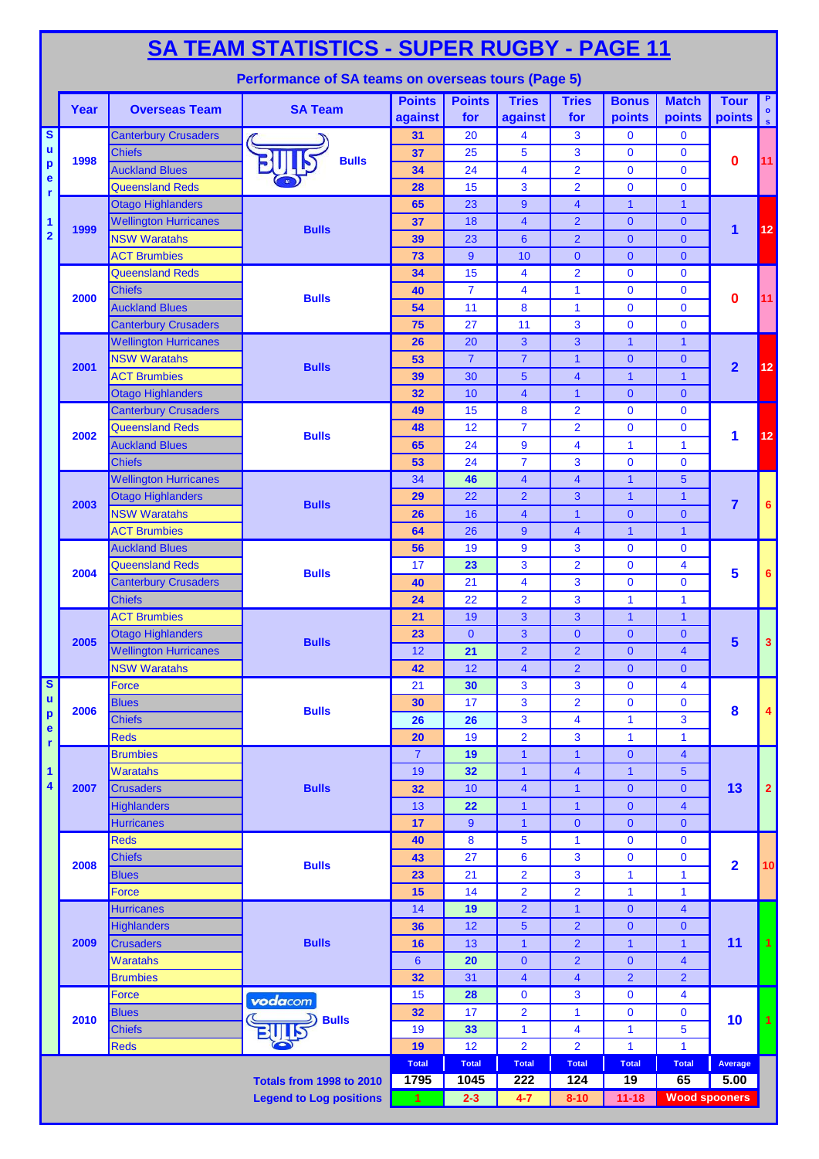|                                          | <u>SA TEAM STATISTICS - SUPER RUGBY - PAGE 11</u> |                                                         |                                                    |                          |                      |                           |                                  |                               |                                         |                         |                                 |  |  |
|------------------------------------------|---------------------------------------------------|---------------------------------------------------------|----------------------------------------------------|--------------------------|----------------------|---------------------------|----------------------------------|-------------------------------|-----------------------------------------|-------------------------|---------------------------------|--|--|
|                                          |                                                   |                                                         | Performance of SA teams on overseas tours (Page 5) |                          |                      |                           |                                  |                               |                                         |                         |                                 |  |  |
|                                          | Year                                              | <b>Overseas Team</b>                                    | <b>SA Team</b>                                     | <b>Points</b><br>against | <b>Points</b><br>for | <b>Tries</b><br>against   | <b>Tries</b><br>for              | <b>Bonus</b><br>points        | <b>Match</b><br>points                  | <b>Tour</b><br>points   | P.<br>$\bullet$<br>$\mathbf{s}$ |  |  |
| $\overline{\mathbf{s}}$                  |                                                   | <b>Canterbury Crusaders</b>                             |                                                    | 31                       | 20                   | 4                         | 3                                | $\mathbf{0}$                  | $\mathbf 0$                             |                         |                                 |  |  |
| $\mathbf u$                              | 1998                                              | <b>Chiefs</b>                                           | <b>Bulls</b>                                       | 37                       | 25                   | 5                         | 3                                | $\mathbf{0}$                  | $\mathbf 0$                             | 0                       | 11                              |  |  |
| $\boldsymbol{\mathsf{p}}$<br>$\mathbf e$ |                                                   | <b>Auckland Blues</b>                                   |                                                    | 34                       | 24                   | $\overline{\mathbf{4}}$   | $\overline{2}$                   | $\overline{0}$                | $\mathbf{0}$                            |                         |                                 |  |  |
| r                                        |                                                   | <b>Queensland Reds</b>                                  |                                                    | 28                       | 15                   | 3                         | $\overline{2}$                   | $\overline{0}$                | $\mathbf{0}$                            |                         |                                 |  |  |
|                                          |                                                   | <b>Otago Highlanders</b>                                |                                                    | 65                       | 23                   | 9                         | $\overline{\mathbf{4}}$          | $\mathbf{1}$                  | $\mathbf{1}$                            |                         |                                 |  |  |
| 1                                        | 1999                                              | <b>Wellington Hurricanes</b>                            | <b>Bulls</b>                                       | 37                       | 18                   | $\overline{\mathbf{4}}$   | $\overline{2}$                   | $\mathbf{0}$                  | $\overline{0}$                          | 1                       | 12                              |  |  |
| $\overline{\mathbf{2}}$                  |                                                   | <b>NSW Waratahs</b>                                     |                                                    | 39                       | 23                   | $6\phantom{1}$            | $\overline{2}$                   | $\overline{0}$                | $\overline{0}$                          |                         |                                 |  |  |
|                                          |                                                   | <b>ACT Brumbies</b>                                     |                                                    | 73                       | 9                    | 10                        | $\mathbf{0}$                     | $\overline{0}$                | $\overline{0}$                          |                         |                                 |  |  |
|                                          |                                                   | <b>Queensland Reds</b>                                  |                                                    | 34                       | 15                   | 4                         | $\overline{2}$                   | $\overline{0}$                | $\mathbf{0}$                            |                         |                                 |  |  |
|                                          | 2000                                              | <b>Chiefs</b>                                           | <b>Bulls</b>                                       | 40                       | $\overline{7}$       | 4                         | $\mathbf{1}$                     | $\mathbf{0}$                  | $\mathbf{0}$                            | 0                       | 11                              |  |  |
|                                          |                                                   | <b>Auckland Blues</b>                                   |                                                    | 54                       | 11                   | 8                         | $\mathbf{1}$                     | $\overline{0}$                | $\mathbf{0}$                            |                         |                                 |  |  |
|                                          |                                                   | <b>Canterbury Crusaders</b>                             |                                                    | 75                       | 27                   | 11                        | 3                                | $\mathbf{0}$                  | $\mathbf{0}$                            |                         |                                 |  |  |
|                                          |                                                   | <b>Wellington Hurricanes</b>                            |                                                    | 26                       | 20                   | 3                         | 3                                | $\mathbf{1}$                  | $\mathbf{1}$                            |                         |                                 |  |  |
|                                          | 2001                                              | <b>NSW Waratahs</b>                                     | <b>Bulls</b>                                       | 53                       | $\overline{7}$       | $\overline{7}$            | $\overline{\mathbf{1}}$          | $\overline{0}$                | $\overline{0}$                          | $\overline{\mathbf{2}}$ | 12                              |  |  |
|                                          |                                                   | <b>ACT Brumbies</b>                                     |                                                    | 39                       | 30                   | 5<br>$\overline{4}$       | $\overline{\mathbf{4}}$          | $\overline{1}$                | $\overline{1}$                          |                         |                                 |  |  |
|                                          |                                                   | <b>Otago Highlanders</b><br><b>Canterbury Crusaders</b> |                                                    | 32                       | 10                   |                           | $\overline{1}$                   | $\overline{0}$                | $\overline{0}$                          |                         |                                 |  |  |
|                                          |                                                   | <b>Queensland Reds</b>                                  |                                                    | 49                       | 15<br>12             | 8<br>$\overline{7}$       | $\overline{2}$                   | $\mathbf{0}$<br>$\mathbf{0}$  | $\mathbf{0}$                            |                         |                                 |  |  |
|                                          | 2002                                              |                                                         | <b>Bulls</b>                                       | 48                       | 24                   |                           | $\overline{2}$<br>4              | 1                             | $\mathbf 0$<br>1                        | 1                       | 12                              |  |  |
|                                          |                                                   | <b>Auckland Blues</b><br><b>Chiefs</b>                  |                                                    | 65<br>53                 | 24                   | 9<br>$\overline{7}$       | 3                                | $\mathbf 0$                   | $\mathbf{0}$                            |                         |                                 |  |  |
|                                          |                                                   | <b>Wellington Hurricanes</b>                            |                                                    | 34                       | 46                   | $\overline{\mathbf{4}}$   | $\overline{\mathbf{4}}$          | $\mathbf{1}$                  | 5                                       |                         |                                 |  |  |
|                                          |                                                   | <b>Otago Highlanders</b>                                |                                                    | 29                       | 22                   | $\overline{2}$            | 3                                | $\mathbf{1}$                  | $\mathbf{1}$                            |                         |                                 |  |  |
|                                          | 2003                                              | <b>NSW Waratahs</b>                                     | <b>Bulls</b>                                       | 26                       | 16                   | $\overline{4}$            | $\overline{\mathbf{1}}$          | $\overline{0}$                | $\overline{0}$                          | $\overline{7}$          | 6                               |  |  |
|                                          |                                                   | <b>ACT Brumbies</b>                                     |                                                    | 64                       | 26                   | $\boldsymbol{9}$          | $\overline{4}$                   | $\overline{1}$                | $\overline{1}$                          |                         |                                 |  |  |
|                                          |                                                   | <b>Auckland Blues</b>                                   |                                                    | 56                       | 19                   | 9                         | 3                                | $\mathbf 0$                   | $\mathbf{0}$                            |                         |                                 |  |  |
|                                          | 2004                                              | <b>Queensland Reds</b>                                  |                                                    | 17                       | 23                   | 3                         | $\overline{2}$                   | $\mathbf{0}$                  | 4                                       |                         |                                 |  |  |
|                                          |                                                   | <b>Canterbury Crusaders</b>                             | <b>Bulls</b>                                       | 40                       | 21                   | 4                         | 3                                | $\overline{0}$                | $\mathbf{0}$                            | 5                       | 6                               |  |  |
|                                          |                                                   | <b>Chiefs</b>                                           |                                                    | 24                       | 22                   | $\overline{2}$            | 3                                | $\mathbf{1}$                  | $\mathbf{1}$                            |                         |                                 |  |  |
|                                          |                                                   | <b>ACT Brumbies</b>                                     |                                                    | 21                       | 19                   | 3                         | 3                                | $\mathbf{1}$                  | $\mathbf{1}$                            | 5                       |                                 |  |  |
|                                          |                                                   | <b>Otago Highlanders</b>                                | <b>Bulls</b>                                       | 23                       | $\mathbf{0}$         | 3                         | $\mathbf{0}$                     | $\mathbf{0}$                  | $\mathbf{0}$                            |                         |                                 |  |  |
|                                          | 2005                                              | <b>Wellington Hurricanes</b>                            |                                                    | 12 <sup>7</sup>          | $\overline{21}$      | $\overline{2}$            | $\overline{2}$                   | $\overline{0}$                | $\overline{\mathbf{4}}$                 |                         | 3                               |  |  |
|                                          |                                                   | <b>NSW Waratahs</b>                                     |                                                    | 42                       | 12                   | $\overline{\mathbf{4}}$   | $\overline{2}$                   | $\overline{0}$                | $\overline{0}$                          |                         |                                 |  |  |
| $\overline{\mathbf{s}}$                  |                                                   | <b>Force</b>                                            |                                                    | 21                       | 30                   | 3                         | 3                                | $\mathbf 0$                   | 4                                       |                         |                                 |  |  |
| $\mathbf u$                              |                                                   | <b>Blues</b>                                            |                                                    | 30                       | 17                   | 3                         | $\overline{2}$                   | $\mathbf 0$                   | $\mathbf 0$                             |                         |                                 |  |  |
| $\mathbf{p}$                             | 2006                                              | <b>Chiefs</b>                                           | <b>Bulls</b>                                       | 26                       | 26                   | 3                         | $\overline{\mathbf{4}}$          | $\mathbf{1}$                  | 3                                       | 8                       | 4                               |  |  |
| $\mathbf{e}% _{t}\left( t\right)$<br>r   |                                                   | <b>Reds</b>                                             |                                                    | 20                       | 19                   | $\overline{2}$            | 3                                | $\mathbf{1}$                  | $\mathbf{1}$                            |                         |                                 |  |  |
|                                          |                                                   | <b>Brumbies</b>                                         |                                                    | $\overline{7}$           | 19                   | 1                         | $\mathbf{1}$                     | 0                             | $\overline{4}$                          |                         |                                 |  |  |
| 1                                        |                                                   | <b>Waratahs</b>                                         |                                                    | 19                       | 32                   | $\mathbf{1}$              | $\overline{\mathbf{4}}$          | $\mathbf{1}$                  | 5                                       |                         |                                 |  |  |
| 4                                        | 2007                                              | <b>Crusaders</b>                                        | <b>Bulls</b>                                       | 32                       | 10                   | $\overline{\mathbf{4}}$   | $\mathbf{1}$                     | $\overline{0}$                | $\overline{0}$                          | 13                      | 2                               |  |  |
|                                          |                                                   | <b>Highlanders</b>                                      |                                                    | 13                       | 22                   | $\mathbf{1}$              | $\overline{\mathbf{1}}$          | $\mathbf{0}$                  | $\overline{4}$                          |                         |                                 |  |  |
|                                          |                                                   | <b>Hurricanes</b>                                       |                                                    | 17                       | 9                    | $\mathbf{1}$              | $\mathbf{0}$                     | $\overline{0}$                | $\overline{0}$                          |                         |                                 |  |  |
|                                          |                                                   | <b>Reds</b>                                             |                                                    | 40                       | 8                    | 5                         | $\mathbf{1}$                     | $\mathbf 0$                   | $\mathbf 0$                             |                         |                                 |  |  |
|                                          | 2008                                              | <b>Chiefs</b>                                           | <b>Bulls</b>                                       | 43                       | 27                   | 6                         | 3                                | $\mathbf 0$                   | $\mathbf 0$                             | $\overline{\mathbf{2}}$ | 10                              |  |  |
|                                          |                                                   | <b>Blues</b>                                            |                                                    | 23                       | 21                   | $\overline{2}$            | 3                                | $\mathbf{1}$                  | $\mathbf{1}$                            |                         |                                 |  |  |
|                                          |                                                   | <b>Force</b>                                            |                                                    | 15                       | 14                   | $\overline{2}$            | $\overline{2}$                   | $\mathbf{1}$                  | $\mathbf{1}$                            |                         |                                 |  |  |
|                                          |                                                   | <b>Hurricanes</b>                                       |                                                    | 14                       | 19                   | $\overline{2}$            | $\overline{\mathbf{1}}$          | $\mathbf{0}$                  | $\overline{4}$                          |                         |                                 |  |  |
|                                          | 2009                                              | <b>Highlanders</b>                                      | <b>Bulls</b>                                       | 36                       | 12                   | 5                         | $\overline{2}$                   | $\pmb{0}$                     | $\mathbf{0}$                            |                         |                                 |  |  |
|                                          |                                                   | <b>Crusaders</b><br><b>Waratahs</b>                     |                                                    | 16                       | 13                   | $\mathbf{1}$<br>$\pmb{0}$ | $\overline{2}$<br>$\overline{2}$ | $\mathbf{1}$                  | $\mathbf{1}$<br>$\overline{\mathbf{4}}$ | 11                      | $\mathbf{1}$                    |  |  |
|                                          |                                                   | <b>Brumbies</b>                                         |                                                    | $6\phantom{1}6$<br>32    | 20<br>31             | $\overline{\mathbf{4}}$   | $\overline{\mathbf{4}}$          | $\mathbf 0$<br>$\overline{2}$ | $\overline{2}$                          |                         |                                 |  |  |
|                                          |                                                   | Force                                                   |                                                    | 15                       | 28                   | 0                         | 3                                | $\mathbf 0$                   | 4                                       |                         |                                 |  |  |
|                                          |                                                   | <b>Blues</b>                                            | vodacom                                            | 32                       | 17                   | $\overline{2}$            | $\mathbf{1}$                     | $\mathbf 0$                   | $\mathbf 0$                             |                         |                                 |  |  |
|                                          | 2010                                              | <b>Chiefs</b>                                           | <b>Bulls</b>                                       | 19                       | 33                   | 1                         | $\overline{\mathbf{4}}$          | $\mathbf{1}$                  | 5                                       | 10                      |                                 |  |  |
|                                          |                                                   | <b>Reds</b>                                             |                                                    | 19                       | 12                   | $\overline{2}$            | $\overline{2}$                   | 1                             | $\mathbf{1}$                            |                         |                                 |  |  |
|                                          |                                                   |                                                         |                                                    | <b>Total</b>             | <b>Total</b>         | <b>Total</b>              | <b>Total</b>                     | <b>Total</b>                  | <b>Total</b>                            | Average                 |                                 |  |  |
|                                          |                                                   |                                                         | <b>Totals from 1998 to 2010</b>                    | 1795                     | 1045                 | 222                       | 124                              | 19                            | 65                                      | 5.00                    |                                 |  |  |
|                                          |                                                   |                                                         | <b>Legend to Log positions</b>                     | $\mathbf{1}$             | $2 - 3$              | $4 - 7$                   | $8 - 10$                         | $11 - 18$                     | <b>Wood spooners</b>                    |                         |                                 |  |  |
|                                          |                                                   |                                                         |                                                    |                          |                      |                           |                                  |                               |                                         |                         |                                 |  |  |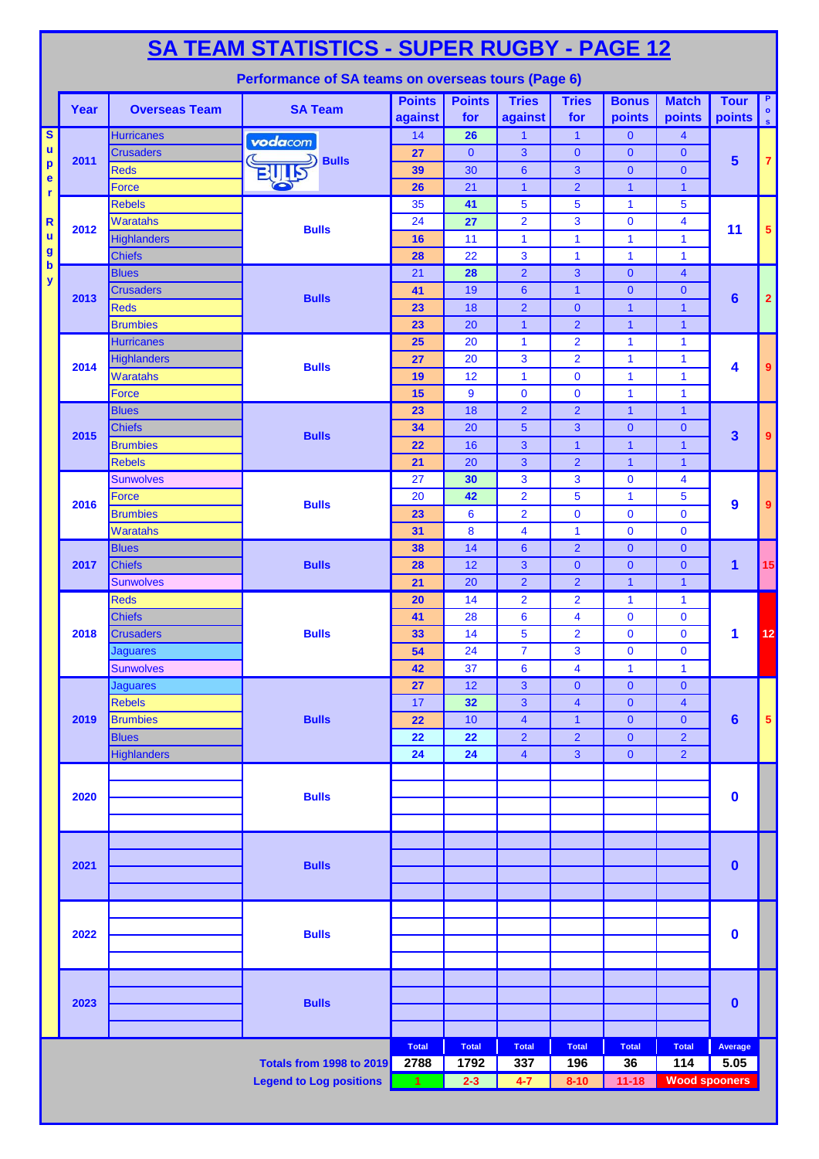|                                          | <b>SA TEAM STATISTICS - SUPER RUGBY - PAGE 12</b> |                                  |                                                    |                          |                      |                         |                            |                                |                         |                         |                              |  |  |
|------------------------------------------|---------------------------------------------------|----------------------------------|----------------------------------------------------|--------------------------|----------------------|-------------------------|----------------------------|--------------------------------|-------------------------|-------------------------|------------------------------|--|--|
|                                          |                                                   |                                  | Performance of SA teams on overseas tours (Page 6) |                          |                      |                         |                            |                                |                         |                         |                              |  |  |
|                                          | Year                                              | <b>Overseas Team</b>             | <b>SA Team</b>                                     | <b>Points</b><br>against | <b>Points</b><br>for | <b>Tries</b><br>against | <b>Tries</b><br>for        | <b>Bonus</b><br>points         | <b>Match</b><br>points  | <b>Tour</b><br>points   | P.<br>$\bullet$<br>$ \cdot $ |  |  |
| $\overline{\mathsf{s}}$                  |                                                   | <b>Hurricanes</b>                | vodacom                                            | 14                       | 26                   | 1                       | $\mathbf{1}$               | $\mathbf{0}$                   | $\overline{\mathbf{4}}$ |                         |                              |  |  |
| $\mathbf u$<br>$\boldsymbol{\mathsf{p}}$ | 2011                                              | <b>Crusaders</b>                 | <b>Bulls</b>                                       | 27                       | $\mathbf{0}$         | 3                       | $\mathbf{0}$               | $\mathbf{0}$                   | $\mathbf{0}$            | $5\phantom{1}$          | $\mathbf{7}$                 |  |  |
| e                                        |                                                   | <b>Reds</b>                      |                                                    | 39                       | 30                   | $6\phantom{a}$          | 3                          | $\mathbf{0}$                   | $\overline{0}$          |                         |                              |  |  |
| r                                        |                                                   | Force<br><b>Rebels</b>           |                                                    | 26<br>35                 | 21<br>41             | $\mathbf{1}$<br>5       | $\overline{2}$<br>5        | $\overline{1}$<br>$\mathbf{1}$ | $\mathbf{1}$<br>5       |                         |                              |  |  |
| $\mathbf R$                              |                                                   | <b>Waratahs</b>                  |                                                    | 24                       | 27                   | $\overline{2}$          | 3                          | $\mathbf 0$                    | $\overline{\mathbf{4}}$ |                         |                              |  |  |
| ū                                        | 2012                                              | <b>Highlanders</b>               | <b>Bulls</b>                                       | 16                       | 11                   | $\mathbf{1}$            | $\mathbf{1}$               | $\mathbf{1}$                   | $\mathbf{1}$            | 11                      | 5 <sup>1</sup>               |  |  |
| $\boldsymbol{g}$                         |                                                   | <b>Chiefs</b>                    |                                                    | 28                       | 22                   | 3                       | $\mathbf{1}$               | 1                              | $\mathbf{1}$            |                         |                              |  |  |
| $\boldsymbol{\mathsf{b}}$                |                                                   | <b>Blues</b>                     |                                                    | 21                       | 28                   | $\overline{2}$          | 3                          | $\mathbf{0}$                   | $\overline{\mathbf{4}}$ |                         |                              |  |  |
| y                                        |                                                   | <b>Crusaders</b>                 |                                                    | 41                       | 19                   | $6\phantom{1}$          | $\overline{1}$             | $\overline{0}$                 | $\mathbf{0}$            |                         |                              |  |  |
|                                          | 2013                                              | <b>Reds</b>                      | <b>Bulls</b>                                       | 23                       | 18                   | $\overline{2}$          | $\mathbf{0}$               | $\mathbf{1}$                   | $\mathbf{1}$            | $6\phantom{1}$          | $\overline{2}$               |  |  |
|                                          |                                                   | <b>Brumbies</b>                  |                                                    | 23                       | 20                   | $\mathbf{1}$            | $\overline{2}$             | $\mathbf{1}$                   | $\overline{1}$          |                         |                              |  |  |
|                                          |                                                   | <b>Hurricanes</b>                |                                                    | 25                       | 20                   | $\mathbf{1}$            | $\overline{2}$             | $\mathbf{1}$                   | 1                       |                         |                              |  |  |
|                                          | 2014                                              | <b>Highlanders</b>               | <b>Bulls</b>                                       | 27                       | 20                   | 3                       | $\overline{2}$             | $\mathbf{1}$                   | 1                       | 4                       | 9                            |  |  |
|                                          |                                                   | Waratahs                         |                                                    | 19                       | 12                   | $\mathbf{1}$            | $\bf{0}$                   | $\mathbf{1}$                   | $\mathbf{1}$            |                         |                              |  |  |
|                                          |                                                   | <b>Force</b>                     |                                                    | 15                       | 9                    | $\mathbf{0}$            | $\mathbf 0$                | $\mathbf{1}$                   | $\mathbf{1}$            |                         |                              |  |  |
|                                          |                                                   | <b>Blues</b>                     |                                                    | 23                       | 18                   | $\overline{2}$          | $\overline{2}$             | $\mathbf{1}$                   | $\mathbf{1}$            |                         |                              |  |  |
|                                          | 2015                                              | <b>Chiefs</b>                    | <b>Bulls</b>                                       | 34                       | 20                   | $5\phantom{.0}$         | 3                          | $\mathbf{0}$                   | $\overline{0}$          | $\overline{\mathbf{3}}$ | 9                            |  |  |
|                                          |                                                   | <b>Brumbies</b>                  |                                                    | 22                       | 16                   | 3                       | $\mathbf{1}$               | $\mathbf{1}$                   | $\mathbf{1}$            |                         |                              |  |  |
|                                          |                                                   | <b>Rebels</b>                    |                                                    | 21<br>27                 | 20                   | 3<br>3                  | $\overline{2}$<br>3        | $\mathbf{1}$<br>$\mathbf 0$    | $\mathbf{1}$<br>4       |                         |                              |  |  |
|                                          |                                                   | <b>Sunwolves</b><br><b>Force</b> |                                                    | 20                       | 30<br>42             | $\overline{2}$          | 5                          | $\mathbf{1}$                   | 5                       |                         |                              |  |  |
|                                          | 2016                                              | <b>Brumbies</b>                  | <b>Bulls</b>                                       | 23                       | 6                    | $\overline{2}$          | $\bf{0}$                   | $\mathbf 0$                    | $\overline{0}$          | 9                       | $9^{\circ}$                  |  |  |
|                                          |                                                   | Waratahs                         |                                                    | 31                       | 8                    | $\overline{\mathbf{4}}$ | $\mathbf{1}$               | $\mathbf 0$                    | $\overline{0}$          |                         |                              |  |  |
|                                          |                                                   | <b>Blues</b>                     |                                                    | 38                       | 14                   | 6                       | $\overline{2}$             | $\mathbf{0}$                   | $\mathbf{0}$            |                         |                              |  |  |
|                                          | 2017                                              | <b>Chiefs</b>                    | <b>Bulls</b>                                       | 28                       | 12                   | 3                       | $\mathbf{0}$               | $\mathbf{0}$                   | $\mathbf{0}$            | 1                       | 15                           |  |  |
|                                          |                                                   | <b>Sunwolves</b>                 |                                                    | 21                       | 20                   | $\overline{2}$          | $\overline{2}$             | $\mathbf{1}$                   | $\mathbf{1}$            |                         |                              |  |  |
|                                          |                                                   | Reds                             |                                                    | 20                       | 14                   | $\overline{2}$          | $\overline{2}$             | 1                              | $\mathbf{1}$            |                         |                              |  |  |
|                                          |                                                   | <b>Chiefs</b>                    |                                                    | 41                       | 28                   | 6                       | $\overline{\mathbf{4}}$    | $\mathbf 0$                    | $\mathbf 0$             |                         |                              |  |  |
|                                          | 2018                                              | <b>Crusaders</b>                 | <b>Bulls</b>                                       | 33                       | 14                   | 5                       | $\overline{2}$             | $\mathbf 0$                    | $\bf{0}$                | 1                       | 12                           |  |  |
|                                          |                                                   | <b>Jaguares</b>                  |                                                    | 54                       | $\overline{24}$      | $\overline{7}$          | 3                          | $\mathbf 0$                    | $\pmb{0}$               |                         |                              |  |  |
|                                          |                                                   | <b>Sunwolves</b>                 |                                                    | 42                       | 37                   | $6\phantom{a}$          | 4                          | 1                              | $\mathbf{1}$            |                         |                              |  |  |
|                                          |                                                   | <b>Jaguares</b>                  |                                                    | 27                       | 12                   | 3                       | $\mathbf{0}$               | $\overline{0}$                 | $\mathbf{0}$            |                         |                              |  |  |
|                                          |                                                   | <b>Rebels</b>                    |                                                    | 17                       | 32                   | 3                       | $\overline{\mathbf{4}}$    | $\mathbf{0}$                   | $\overline{\mathbf{4}}$ |                         |                              |  |  |
|                                          | 2019                                              | <b>Brumbies</b>                  | <b>Bulls</b>                                       | 22                       | 10                   | $\overline{\mathbf{4}}$ | $\overline{1}$             | $\overline{0}$                 | $\mathbf{0}$            | $6\phantom{1}$          | 5 <sup>1</sup>               |  |  |
|                                          |                                                   | <b>Blues</b>                     |                                                    | 22                       | 22                   | $\overline{2}$          | $\overline{2}$             | $\mathbf{0}$                   | $\overline{2}$          |                         |                              |  |  |
|                                          |                                                   | <b>Highlanders</b>               |                                                    | 24                       | 24                   | $\overline{\mathbf{4}}$ | $\overline{\mathbf{3}}$    | $\mathbf{0}$                   | $\overline{2}$          |                         |                              |  |  |
|                                          |                                                   |                                  |                                                    |                          |                      |                         |                            |                                |                         |                         |                              |  |  |
|                                          | 2020                                              |                                  | <b>Bulls</b>                                       |                          |                      |                         |                            |                                |                         | $\bf{0}$                |                              |  |  |
|                                          |                                                   |                                  |                                                    |                          |                      |                         |                            |                                |                         |                         |                              |  |  |
|                                          |                                                   |                                  |                                                    |                          |                      |                         |                            |                                |                         |                         |                              |  |  |
|                                          |                                                   |                                  |                                                    |                          |                      |                         |                            |                                |                         |                         |                              |  |  |
|                                          | 2021                                              |                                  | <b>Bulls</b>                                       |                          |                      |                         |                            |                                |                         | $\boldsymbol{0}$        |                              |  |  |
|                                          |                                                   |                                  |                                                    |                          |                      |                         |                            |                                |                         |                         |                              |  |  |
|                                          |                                                   |                                  |                                                    |                          |                      |                         |                            |                                |                         |                         |                              |  |  |
|                                          | 2022                                              |                                  | <b>Bulls</b>                                       |                          |                      |                         |                            |                                |                         | $\mathbf 0$             |                              |  |  |
|                                          |                                                   |                                  |                                                    |                          |                      |                         |                            |                                |                         |                         |                              |  |  |
|                                          |                                                   |                                  |                                                    |                          |                      |                         |                            |                                |                         |                         |                              |  |  |
|                                          |                                                   |                                  |                                                    |                          |                      |                         |                            |                                |                         |                         |                              |  |  |
|                                          | 2023                                              |                                  | <b>Bulls</b>                                       |                          |                      |                         |                            |                                |                         | $\mathbf 0$             |                              |  |  |
|                                          |                                                   |                                  |                                                    |                          |                      |                         |                            |                                |                         |                         |                              |  |  |
|                                          |                                                   |                                  |                                                    |                          |                      |                         |                            |                                |                         |                         |                              |  |  |
|                                          |                                                   |                                  |                                                    | <b>Total</b><br>2788     | <b>Total</b><br>1792 | <b>Total</b><br>337     | <b>Total</b><br><b>196</b> | <b>Total</b><br>36             | <b>Total</b><br>114     | Average<br>5.05         |                              |  |  |
|                                          |                                                   |                                  | Totals from 1998 to 2019                           |                          |                      |                         |                            |                                |                         |                         |                              |  |  |
|                                          |                                                   |                                  | <b>Legend to Log positions</b>                     | $\blacktriangleleft$     | $2 - 3$              | $4 - 7$                 | $8 - 10$                   | $11 - 18$                      | <b>Wood spooners</b>    |                         |                              |  |  |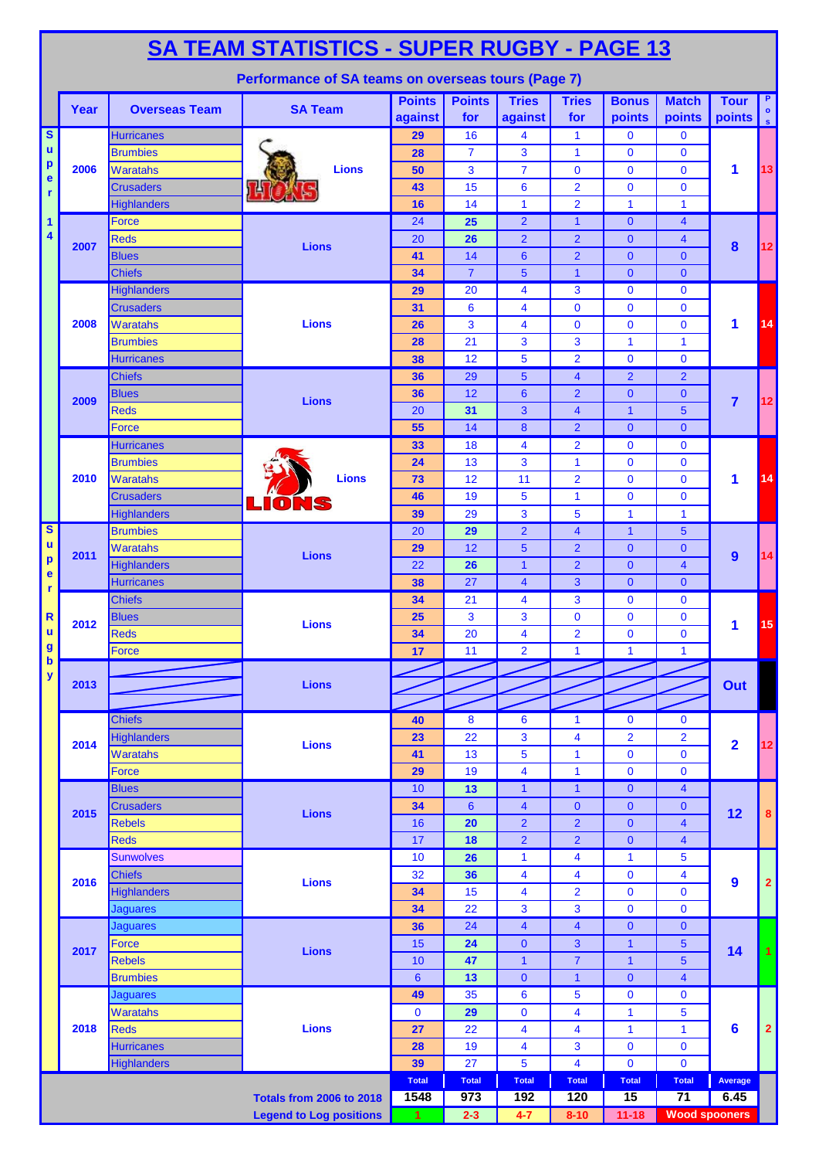|                                | <b>SA TEAM STATISTICS - SUPER RUGBY - PAGE 13</b>  |                                         |                                 |                          |                      |                                  |                                                    |                                |                                  |                         |                                 |  |  |
|--------------------------------|----------------------------------------------------|-----------------------------------------|---------------------------------|--------------------------|----------------------|----------------------------------|----------------------------------------------------|--------------------------------|----------------------------------|-------------------------|---------------------------------|--|--|
|                                | Performance of SA teams on overseas tours (Page 7) |                                         |                                 |                          |                      |                                  |                                                    |                                |                                  |                         |                                 |  |  |
|                                | Year                                               | <b>Overseas Team</b>                    | <b>SA Team</b>                  | <b>Points</b><br>against | <b>Points</b><br>for | <b>Tries</b><br>against          | <b>Tries</b><br>for                                | <b>Bonus</b><br>points         | <b>Match</b><br>points           | <b>Tour</b><br>points   | P.<br>$\bullet$<br>$\mathbf{s}$ |  |  |
| $\overline{\mathbf{s}}$        |                                                    | Hurricanes                              |                                 | 29                       | 16                   | 4                                | $\mathbf{1}$                                       | $\mathbf{0}$                   | $\mathbf{0}$                     |                         |                                 |  |  |
| $\mathbf u$                    |                                                    | <b>Brumbies</b>                         | <b>Lions</b>                    | 28                       | $\overline{7}$       | 3                                | $\mathbf{1}$                                       | $\mathbf{0}$                   | $\mathbf{0}$                     |                         |                                 |  |  |
| $\boldsymbol{\mathsf{p}}$<br>e | 2006                                               | <b>Waratahs</b>                         |                                 | 50                       | 3                    | $\overline{7}$                   | $\mathbf 0$                                        | $\mathbf{0}$                   | $\mathbf{0}$                     | 1                       | 13                              |  |  |
| r                              |                                                    | <b>Crusaders</b>                        |                                 | 43                       | 15                   | 6                                | $\overline{2}$                                     | $\overline{0}$                 | $\mathbf{0}$                     |                         |                                 |  |  |
|                                |                                                    | Highlanders                             |                                 | 16                       | 14                   | $\mathbf{1}$                     | $\overline{2}$                                     | $\mathbf{1}$                   | $\mathbf{1}$                     |                         |                                 |  |  |
| 1<br>4                         | 2007                                               | Force<br><b>Reds</b>                    | <b>Lions</b>                    | 24<br>20                 | 25<br>26             | $\overline{2}$<br>$\overline{2}$ | $\mathbf{1}$<br>$\overline{2}$                     | $\overline{0}$<br>$\mathbf{0}$ | $\overline{4}$<br>$\overline{4}$ |                         | 12                              |  |  |
|                                |                                                    | <b>Blues</b>                            |                                 | 41                       | 14                   | $6\phantom{1}$                   | $\overline{2}$                                     | $\mathbf{0}$                   | $\overline{0}$                   | 8                       |                                 |  |  |
|                                |                                                    | <b>Chiefs</b>                           |                                 | 34                       | $\overline{7}$       | 5                                | $\overline{1}$                                     | $\mathbf{0}$                   | $\Omega$                         |                         |                                 |  |  |
|                                |                                                    | <b>Highlanders</b>                      | <b>Lions</b>                    | 29                       | 20                   | 4                                | 3                                                  | $\mathbf{0}$                   | $\mathbf 0$                      |                         | 14                              |  |  |
|                                |                                                    | <b>Crusaders</b>                        |                                 | 31                       | 6                    | 4                                | $\mathbf 0$                                        | $\mathbf{0}$                   | $\mathbf 0$                      |                         |                                 |  |  |
|                                | 2008                                               | Waratahs                                |                                 | 26                       | 3                    | 4                                | $\mathbf 0$                                        | $\mathbf{0}$                   | $\mathbf{0}$                     | 1                       |                                 |  |  |
|                                |                                                    | <b>Brumbies</b>                         |                                 | 28                       | 21                   | 3                                | 3                                                  | $\mathbf{1}$                   | $\mathbf{1}$                     |                         |                                 |  |  |
|                                |                                                    | <b>Hurricanes</b>                       |                                 | 38                       | 12                   | 5                                | $\overline{2}$                                     | $\overline{0}$                 | $\mathbf{0}$                     |                         |                                 |  |  |
|                                | 2009                                               | <b>Chiefs</b>                           | <b>Lions</b>                    | 36                       | 29                   | 5                                | $\overline{\mathbf{4}}$                            | $\overline{2}$                 | $\overline{2}$                   |                         | 12                              |  |  |
|                                |                                                    | <b>Blues</b>                            |                                 | 36                       | 12                   | 6                                | $\overline{2}$                                     | $\overline{0}$                 | $\overline{0}$                   | $\overline{7}$          |                                 |  |  |
|                                |                                                    | <b>Reds</b>                             |                                 | 20                       | 31                   | 3                                | $\overline{4}$                                     | $\mathbf{1}$                   | $5\phantom{1}$                   |                         |                                 |  |  |
|                                |                                                    | <b>Force</b>                            |                                 | 55                       | 14                   | 8                                | $\overline{2}$                                     | $\overline{0}$                 | $\overline{0}$                   |                         |                                 |  |  |
|                                | 2010                                               | <b>Hurricanes</b><br><b>Brumbies</b>    |                                 | 33<br>24                 | 18<br>13             | $\overline{4}$<br>3              | $\overline{2}$<br>$\mathbf{1}$                     | $\mathbf 0$<br>$\mathbf{0}$    | $\mathbf 0$<br>$\mathbf{0}$      |                         |                                 |  |  |
|                                |                                                    | <b>Waratahs</b>                         | <b>Lions</b>                    | 73                       | 12                   | 11                               | $\overline{2}$                                     | $\mathbf{0}$                   | $\mathbf{0}$                     | 1                       | 14                              |  |  |
|                                |                                                    | <b>Crusaders</b>                        |                                 | 46                       | 19                   | 5                                | $\mathbf{1}$                                       | $\mathbf{0}$                   | $\mathbf{0}$                     |                         |                                 |  |  |
|                                |                                                    | <b>Highlanders</b>                      |                                 | 39                       | 29                   | 3                                | 5                                                  | $\mathbf{1}$                   | $\mathbf{1}$                     |                         |                                 |  |  |
| $\overline{\mathbf{s}}$        | 2011                                               | <b>Brumbies</b>                         | <b>Lions</b>                    | 20                       | 29                   | $\overline{2}$                   | $\overline{4}$                                     | $\mathbf{1}$                   | $5\phantom{1}$                   |                         |                                 |  |  |
| $\mathbf u$                    |                                                    | <b>Waratahs</b>                         |                                 | 29                       | 12                   | 5                                | $\overline{2}$                                     | $\overline{0}$                 | $\overline{0}$                   |                         |                                 |  |  |
| p<br>e                         |                                                    | <b>Highlanders</b>                      |                                 | 22                       | 26                   | $\mathbf{1}$                     | $\overline{2}$                                     | $\overline{0}$                 | $\overline{4}$                   | 9                       | 14                              |  |  |
| r                              |                                                    | Hurricanes                              |                                 | 38                       | 27                   | $\overline{4}$                   | 3                                                  | $\overline{0}$                 | $\overline{0}$                   |                         |                                 |  |  |
| $\mathbf R$                    |                                                    | <b>Chiefs</b>                           |                                 | 34                       | 21                   | $\overline{\mathbf{4}}$          | 3                                                  | $\overline{0}$                 | $\mathbf 0$                      |                         | 15                              |  |  |
|                                | 2012                                               | <b>Blues</b>                            | <b>Lions</b>                    | 25                       | 3                    | 3                                | $\mathbf 0$                                        | $\overline{0}$                 | $\mathbf{0}$                     | 1                       |                                 |  |  |
| ū<br>$\mathbf{g}$              |                                                    | <b>Reds</b>                             |                                 | 34                       | 20                   | 4                                | $\overline{2}$                                     | $\mathbf{0}$                   | $\mathbf 0$                      |                         |                                 |  |  |
| $\boldsymbol{\mathsf{b}}$      |                                                    | Force                                   |                                 | 17 <sup>2</sup>          | 11                   | $\overline{2}$                   | $\mathbf{1}$                                       | $\ddot{1}$                     | 1                                |                         |                                 |  |  |
| $\mathbf{y}$                   | 2013                                               |                                         | <b>Lions</b>                    |                          |                      |                                  |                                                    |                                |                                  | Out                     |                                 |  |  |
|                                |                                                    |                                         |                                 |                          |                      |                                  |                                                    |                                |                                  |                         |                                 |  |  |
|                                | 2014                                               | <b>Chiefs</b>                           | <b>Lions</b>                    | 40                       | 8                    | 6                                | $\mathbf{1}$                                       | $\mathbf 0$                    | $\mathbf 0$                      |                         |                                 |  |  |
|                                |                                                    | <b>Highlanders</b>                      |                                 | 23                       | 22                   | 3                                | $\overline{\mathbf{4}}$                            | $\overline{\mathbf{2}}$        | $\overline{\mathbf{c}}$          |                         |                                 |  |  |
|                                |                                                    | Waratahs                                |                                 | 41                       | 13                   | 5                                | 1                                                  | $\mathbf 0$                    | $\mathbf 0$                      | $\overline{\mathbf{2}}$ | 12                              |  |  |
|                                |                                                    | <b>Force</b>                            |                                 | 29                       | 19                   | 4                                | $\mathbf{1}$                                       | $\mathbf 0$                    | $\mathbf 0$                      |                         |                                 |  |  |
|                                | 2015                                               | <b>Blues</b>                            | <b>Lions</b>                    | 10                       | 13                   | $\mathbf{1}$                     | $\mathbf{1}$                                       | $\mathbf{0}$                   | $\overline{4}$                   |                         | 8                               |  |  |
|                                |                                                    | <b>Crusaders</b>                        |                                 | 34                       | $6\phantom{1}6$      | $\overline{\mathbf{4}}$          | $\mathbf{0}$                                       | $\mathbf{0}$                   | $\pmb{0}$                        | 12                      |                                 |  |  |
|                                |                                                    | <b>Rebels</b>                           |                                 | 16                       | 20                   | $\overline{2}$                   | $\overline{2}$                                     | $\mathbf{0}$                   | $\overline{4}$                   |                         |                                 |  |  |
|                                |                                                    | <b>Reds</b>                             |                                 | 17                       | 18                   | $\overline{2}$<br>$\mathbf{1}$   | $\overline{2}$                                     | $\mathbf{0}$<br>1              | $\overline{4}$                   |                         |                                 |  |  |
|                                | 2016                                               | <b>Sunwolves</b><br><b>Chiefs</b>       | <b>Lions</b>                    | 10<br>32                 | 26<br>36             | 4                                | $\overline{\mathbf{4}}$<br>$\overline{\mathbf{4}}$ | $\mathbf{0}$                   | 5<br>4                           |                         | $\overline{\mathbf{2}}$         |  |  |
|                                |                                                    | <b>Highlanders</b>                      |                                 | 34                       | 15                   | 4                                | $\overline{2}$                                     | $\mathbf 0$                    | $\mathbf 0$                      | $\boldsymbol{9}$        |                                 |  |  |
|                                |                                                    | <b>Jaguares</b>                         |                                 | 34                       | 22                   | 3                                | 3                                                  | $\mathbf 0$                    | $\mathbf{0}$                     |                         |                                 |  |  |
|                                | 2017                                               | <b>Jaguares</b>                         | <b>Lions</b>                    | 36                       | 24                   | $\overline{\mathbf{4}}$          | $\overline{\mathbf{4}}$                            | $\mathbf{0}$                   | $\overline{0}$                   |                         |                                 |  |  |
|                                |                                                    | <b>Force</b>                            |                                 | 15                       | 24                   | $\pmb{0}$                        | $\mathbf{3}$                                       | $\mathbf{1}$                   | $\overline{5}$                   |                         |                                 |  |  |
|                                |                                                    | <b>Rebels</b>                           |                                 | 10                       | 47                   | $\mathbf{1}$                     | $\overline{7}$                                     | $\mathbf{1}$                   | $\overline{5}$                   | 14                      |                                 |  |  |
|                                |                                                    | <b>Brumbies</b>                         |                                 | $6\phantom{1}6$          | 13                   | $\mathbf{0}$                     | $\mathbf{1}$                                       | $\mathbf{0}$                   | $\overline{4}$                   |                         |                                 |  |  |
|                                | 2018                                               | <b>Jaguares</b>                         | <b>Lions</b>                    | 49                       | 35                   | 6                                | 5                                                  | $\mathbf 0$                    | $\mathbf 0$                      |                         |                                 |  |  |
|                                |                                                    | <b>Waratahs</b>                         |                                 | $\mathbf 0$              | 29                   | 0                                | $\overline{\mathbf{4}}$                            | $\mathbf{1}$                   | 5                                |                         |                                 |  |  |
|                                |                                                    | <b>Reds</b>                             |                                 | 27                       | 22                   | 4                                | $\overline{\mathbf{4}}$                            | 1                              | 1                                | $6\phantom{1}6$         | $\overline{2}$                  |  |  |
|                                |                                                    | <b>Hurricanes</b><br><b>Highlanders</b> |                                 | 28<br>39                 | 19<br>27             | 4<br>5                           | 3<br>$\overline{\mathbf{4}}$                       | $\mathbf 0$<br>$\mathbf 0$     | $\mathbf 0$<br>$\mathbf{0}$      |                         |                                 |  |  |
|                                |                                                    |                                         |                                 | <b>Total</b>             | <b>Total</b>         | <b>Total</b>                     | <b>Total</b>                                       | <b>Total</b>                   | <b>Total</b>                     | Average                 |                                 |  |  |
|                                |                                                    |                                         | <b>Totals from 2006 to 2018</b> | 1548                     | 973                  | 192                              | 120                                                | 15                             | 71                               | 6.45                    |                                 |  |  |
|                                |                                                    |                                         | <b>Legend to Log positions</b>  | $\overline{\mathbf{1}}$  | $2 - 3$              | $4 - 7$                          | $8 - 10$                                           | $11 - 18$                      | <b>Wood spooners</b>             |                         |                                 |  |  |